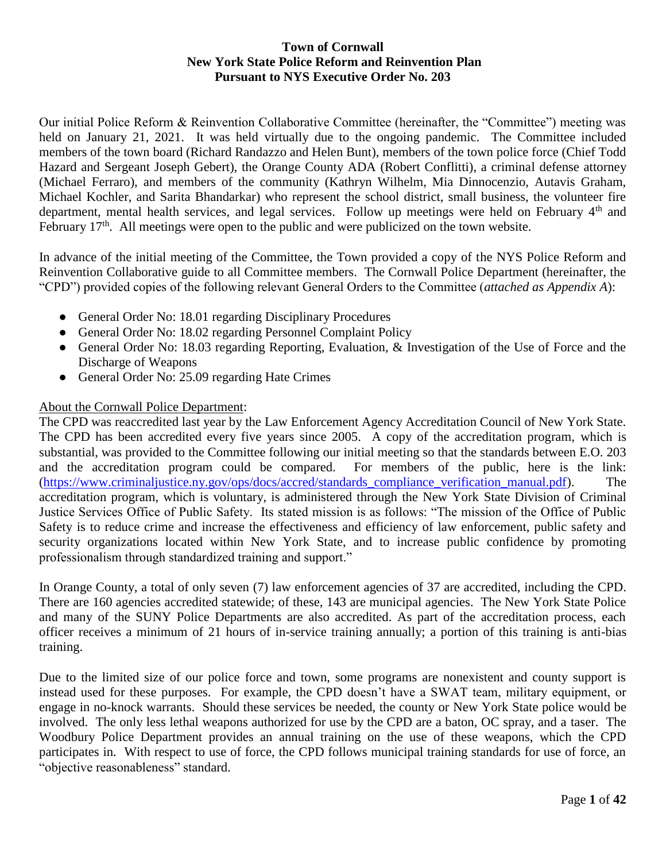#### **Town of Cornwall New York State Police Reform and Reinvention Plan Pursuant to NYS Executive Order No. 203**

Our initial Police Reform & Reinvention Collaborative Committee (hereinafter, the "Committee") meeting was held on January 21, 2021. It was held virtually due to the ongoing pandemic. The Committee included members of the town board (Richard Randazzo and Helen Bunt), members of the town police force (Chief Todd Hazard and Sergeant Joseph Gebert), the Orange County ADA (Robert Conflitti), a criminal defense attorney (Michael Ferraro), and members of the community (Kathryn Wilhelm, Mia Dinnocenzio, Autavis Graham, Michael Kochler, and Sarita Bhandarkar) who represent the school district, small business, the volunteer fire department, mental health services, and legal services. Follow up meetings were held on February 4<sup>th</sup> and February  $17<sup>th</sup>$ . All meetings were open to the public and were publicized on the town website.

In advance of the initial meeting of the Committee, the Town provided a copy of the NYS Police Reform and Reinvention Collaborative guide to all Committee members. The Cornwall Police Department (hereinafter, the "CPD") provided copies of the following relevant General Orders to the Committee (*attached as Appendix A*):

- General Order No: 18.01 regarding Disciplinary Procedures
- General Order No: 18.02 regarding Personnel Complaint Policy
- General Order No: 18.03 regarding Reporting, Evaluation, & Investigation of the Use of Force and the Discharge of Weapons
- General Order No: 25.09 regarding Hate Crimes

#### About the Cornwall Police Department:

The CPD was reaccredited last year by the Law Enforcement Agency Accreditation Council of New York State. The CPD has been accredited every five years since 2005. A copy of the accreditation program, which is substantial, was provided to the Committee following our initial meeting so that the standards between E.O. 203 and the accreditation program could be compared. For members of the public, here is the link: [\(https://www.criminaljustice.ny.gov/ops/docs/accred/standards\\_compliance\\_verification\\_manual.pdf\)](https://www.criminaljustice.ny.gov/ops/docs/accred/standards_compliance_verification_manual.pdf). The accreditation program, which is voluntary, is administered through the New York State Division of Criminal Justice Services Office of Public Safety. Its stated mission is as follows: "The mission of the Office of Public Safety is to reduce crime and increase the effectiveness and efficiency of law enforcement, public safety and security organizations located within New York State, and to increase public confidence by promoting professionalism through standardized training and support."

In Orange County, a total of only seven (7) law enforcement agencies of 37 are accredited, including the CPD. There are 160 agencies accredited statewide; of these, 143 are municipal agencies. The New York State Police and many of the SUNY Police Departments are also accredited. As part of the accreditation process, each officer receives a minimum of 21 hours of in-service training annually; a portion of this training is anti-bias training.

Due to the limited size of our police force and town, some programs are nonexistent and county support is instead used for these purposes. For example, the CPD doesn't have a SWAT team, military equipment, or engage in no-knock warrants. Should these services be needed, the county or New York State police would be involved. The only less lethal weapons authorized for use by the CPD are a baton, OC spray, and a taser. The Woodbury Police Department provides an annual training on the use of these weapons, which the CPD participates in. With respect to use of force, the CPD follows municipal training standards for use of force, an "objective reasonableness" standard.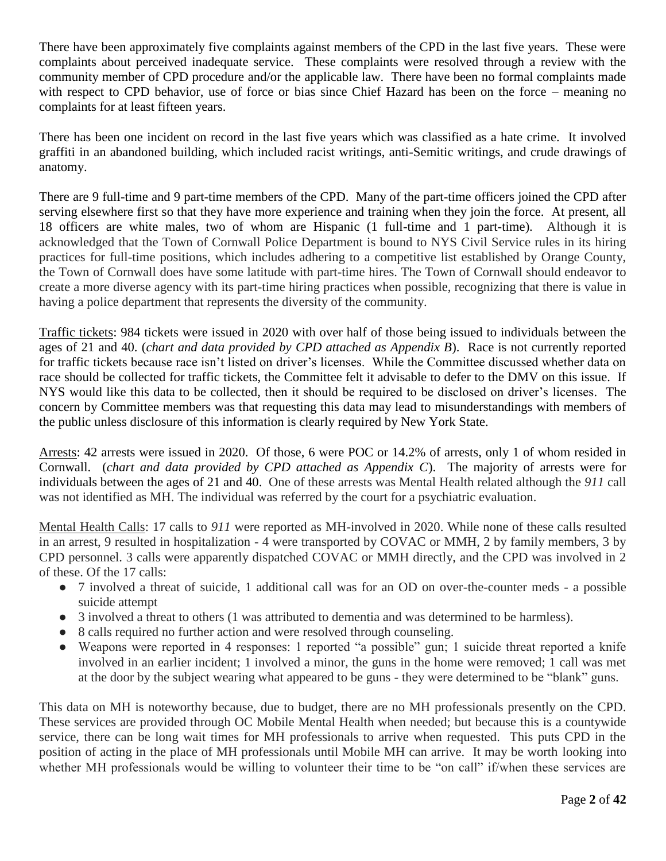There have been approximately five complaints against members of the CPD in the last five years. These were complaints about perceived inadequate service. These complaints were resolved through a review with the community member of CPD procedure and/or the applicable law. There have been no formal complaints made with respect to CPD behavior, use of force or bias since Chief Hazard has been on the force – meaning no complaints for at least fifteen years.

There has been one incident on record in the last five years which was classified as a hate crime. It involved graffiti in an abandoned building, which included racist writings, anti-Semitic writings, and crude drawings of anatomy.

There are 9 full-time and 9 part-time members of the CPD. Many of the part-time officers joined the CPD after serving elsewhere first so that they have more experience and training when they join the force. At present, all 18 officers are white males, two of whom are Hispanic (1 full-time and 1 part-time). Although it is acknowledged that the Town of Cornwall Police Department is bound to NYS Civil Service rules in its hiring practices for full-time positions, which includes adhering to a competitive list established by Orange County, the Town of Cornwall does have some latitude with part-time hires. The Town of Cornwall should endeavor to create a more diverse agency with its part-time hiring practices when possible, recognizing that there is value in having a police department that represents the diversity of the community.

Traffic tickets: 984 tickets were issued in 2020 with over half of those being issued to individuals between the ages of 21 and 40. (*chart and data provided by CPD attached as Appendix B*). Race is not currently reported for traffic tickets because race isn't listed on driver's licenses. While the Committee discussed whether data on race should be collected for traffic tickets, the Committee felt it advisable to defer to the DMV on this issue. If NYS would like this data to be collected, then it should be required to be disclosed on driver's licenses. The concern by Committee members was that requesting this data may lead to misunderstandings with members of the public unless disclosure of this information is clearly required by New York State.

Arrests: 42 arrests were issued in 2020. Of those, 6 were POC or 14.2% of arrests, only 1 of whom resided in Cornwall. (*chart and data provided by CPD attached as Appendix C*). The majority of arrests were for individuals between the ages of 21 and 40. One of these arrests was Mental Health related although the *911* call was not identified as MH. The individual was referred by the court for a psychiatric evaluation.

Mental Health Calls: 17 calls to *911* were reported as MH-involved in 2020. While none of these calls resulted in an arrest, 9 resulted in hospitalization - 4 were transported by COVAC or MMH, 2 by family members, 3 by CPD personnel. 3 calls were apparently dispatched COVAC or MMH directly, and the CPD was involved in 2 of these. Of the 17 calls:

- 7 involved a threat of suicide, 1 additional call was for an OD on over-the-counter meds a possible suicide attempt
- 3 involved a threat to others (1 was attributed to dementia and was determined to be harmless).
- 8 calls required no further action and were resolved through counseling.
- Weapons were reported in 4 responses: 1 reported "a possible" gun; 1 suicide threat reported a knife involved in an earlier incident; 1 involved a minor, the guns in the home were removed; 1 call was met at the door by the subject wearing what appeared to be guns - they were determined to be "blank" guns.

This data on MH is noteworthy because, due to budget, there are no MH professionals presently on the CPD. These services are provided through OC Mobile Mental Health when needed; but because this is a countywide service, there can be long wait times for MH professionals to arrive when requested. This puts CPD in the position of acting in the place of MH professionals until Mobile MH can arrive. It may be worth looking into whether MH professionals would be willing to volunteer their time to be "on call" if/when these services are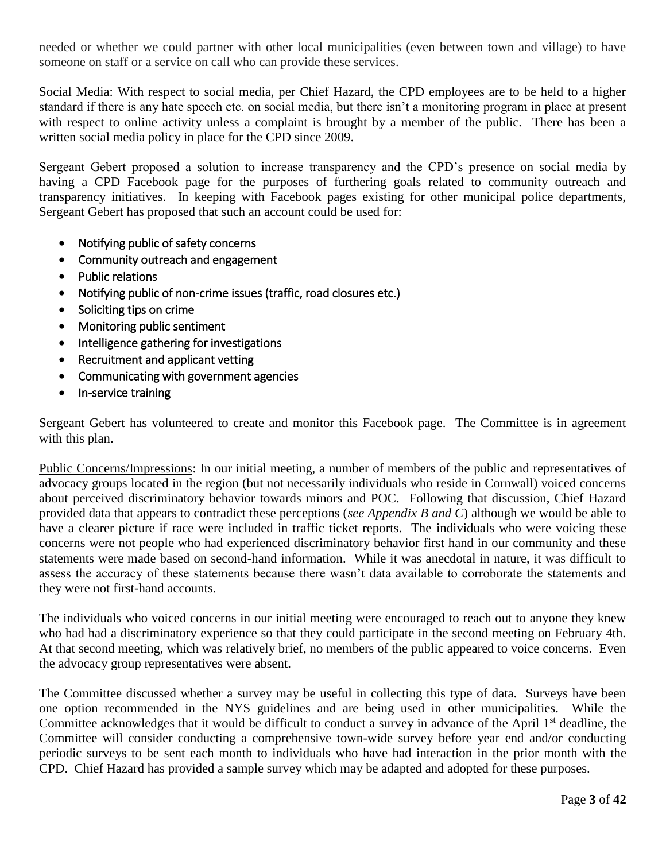needed or whether we could partner with other local municipalities (even between town and village) to have someone on staff or a service on call who can provide these services.

Social Media: With respect to social media, per Chief Hazard, the CPD employees are to be held to a higher standard if there is any hate speech etc. on social media, but there isn't a monitoring program in place at present with respect to online activity unless a complaint is brought by a member of the public. There has been a written social media policy in place for the CPD since 2009.

Sergeant Gebert proposed a solution to increase transparency and the CPD's presence on social media by having a CPD Facebook page for the purposes of furthering goals related to community outreach and transparency initiatives. In keeping with Facebook pages existing for other municipal police departments, Sergeant Gebert has proposed that such an account could be used for:

- Notifying public of safety concerns
- Community outreach and engagement
- Public relations
- Notifying public of non-crime issues (traffic, road closures etc.)
- Soliciting tips on crime
- Monitoring public sentiment
- Intelligence gathering for investigations
- Recruitment and applicant vetting
- Communicating with government agencies
- In-service training

Sergeant Gebert has volunteered to create and monitor this Facebook page. The Committee is in agreement with this plan.

Public Concerns/Impressions: In our initial meeting, a number of members of the public and representatives of advocacy groups located in the region (but not necessarily individuals who reside in Cornwall) voiced concerns about perceived discriminatory behavior towards minors and POC. Following that discussion, Chief Hazard provided data that appears to contradict these perceptions (*see Appendix B and C*) although we would be able to have a clearer picture if race were included in traffic ticket reports. The individuals who were voicing these concerns were not people who had experienced discriminatory behavior first hand in our community and these statements were made based on second-hand information. While it was anecdotal in nature, it was difficult to assess the accuracy of these statements because there wasn't data available to corroborate the statements and they were not first-hand accounts.

The individuals who voiced concerns in our initial meeting were encouraged to reach out to anyone they knew who had had a discriminatory experience so that they could participate in the second meeting on February 4th. At that second meeting, which was relatively brief, no members of the public appeared to voice concerns. Even the advocacy group representatives were absent.

The Committee discussed whether a survey may be useful in collecting this type of data. Surveys have been one option recommended in the NYS guidelines and are being used in other municipalities. While the Committee acknowledges that it would be difficult to conduct a survey in advance of the April 1<sup>st</sup> deadline, the Committee will consider conducting a comprehensive town-wide survey before year end and/or conducting periodic surveys to be sent each month to individuals who have had interaction in the prior month with the CPD. Chief Hazard has provided a sample survey which may be adapted and adopted for these purposes.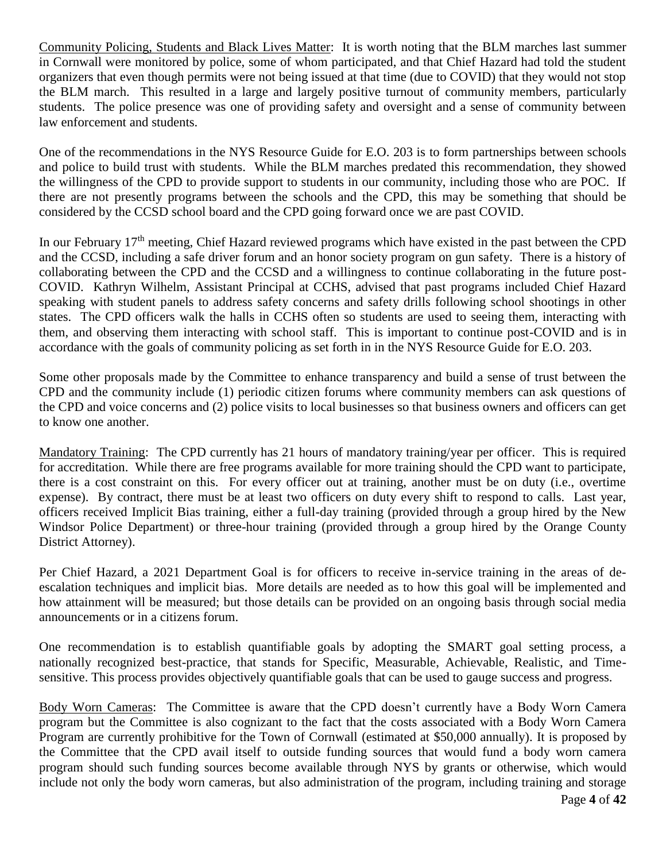Community Policing, Students and Black Lives Matter: It is worth noting that the BLM marches last summer in Cornwall were monitored by police, some of whom participated, and that Chief Hazard had told the student organizers that even though permits were not being issued at that time (due to COVID) that they would not stop the BLM march. This resulted in a large and largely positive turnout of community members, particularly students. The police presence was one of providing safety and oversight and a sense of community between law enforcement and students.

One of the recommendations in the NYS Resource Guide for E.O. 203 is to form partnerships between schools and police to build trust with students. While the BLM marches predated this recommendation, they showed the willingness of the CPD to provide support to students in our community, including those who are POC. If there are not presently programs between the schools and the CPD, this may be something that should be considered by the CCSD school board and the CPD going forward once we are past COVID.

In our February 17<sup>th</sup> meeting, Chief Hazard reviewed programs which have existed in the past between the CPD and the CCSD, including a safe driver forum and an honor society program on gun safety. There is a history of collaborating between the CPD and the CCSD and a willingness to continue collaborating in the future post-COVID. Kathryn Wilhelm, Assistant Principal at CCHS, advised that past programs included Chief Hazard speaking with student panels to address safety concerns and safety drills following school shootings in other states. The CPD officers walk the halls in CCHS often so students are used to seeing them, interacting with them, and observing them interacting with school staff. This is important to continue post-COVID and is in accordance with the goals of community policing as set forth in in the NYS Resource Guide for E.O. 203.

Some other proposals made by the Committee to enhance transparency and build a sense of trust between the CPD and the community include (1) periodic citizen forums where community members can ask questions of the CPD and voice concerns and (2) police visits to local businesses so that business owners and officers can get to know one another.

Mandatory Training: The CPD currently has 21 hours of mandatory training/year per officer. This is required for accreditation. While there are free programs available for more training should the CPD want to participate, there is a cost constraint on this. For every officer out at training, another must be on duty (i.e., overtime expense). By contract, there must be at least two officers on duty every shift to respond to calls. Last year, officers received Implicit Bias training, either a full-day training (provided through a group hired by the New Windsor Police Department) or three-hour training (provided through a group hired by the Orange County District Attorney).

Per Chief Hazard, a 2021 Department Goal is for officers to receive in-service training in the areas of deescalation techniques and implicit bias. More details are needed as to how this goal will be implemented and how attainment will be measured; but those details can be provided on an ongoing basis through social media announcements or in a citizens forum.

One recommendation is to establish quantifiable goals by adopting the SMART goal setting process, a nationally recognized best-practice, that stands for Specific, Measurable, Achievable, Realistic, and Timesensitive. This process provides objectively quantifiable goals that can be used to gauge success and progress.

Body Worn Cameras: The Committee is aware that the CPD doesn't currently have a Body Worn Camera program but the Committee is also cognizant to the fact that the costs associated with a Body Worn Camera Program are currently prohibitive for the Town of Cornwall (estimated at \$50,000 annually). It is proposed by the Committee that the CPD avail itself to outside funding sources that would fund a body worn camera program should such funding sources become available through NYS by grants or otherwise, which would include not only the body worn cameras, but also administration of the program, including training and storage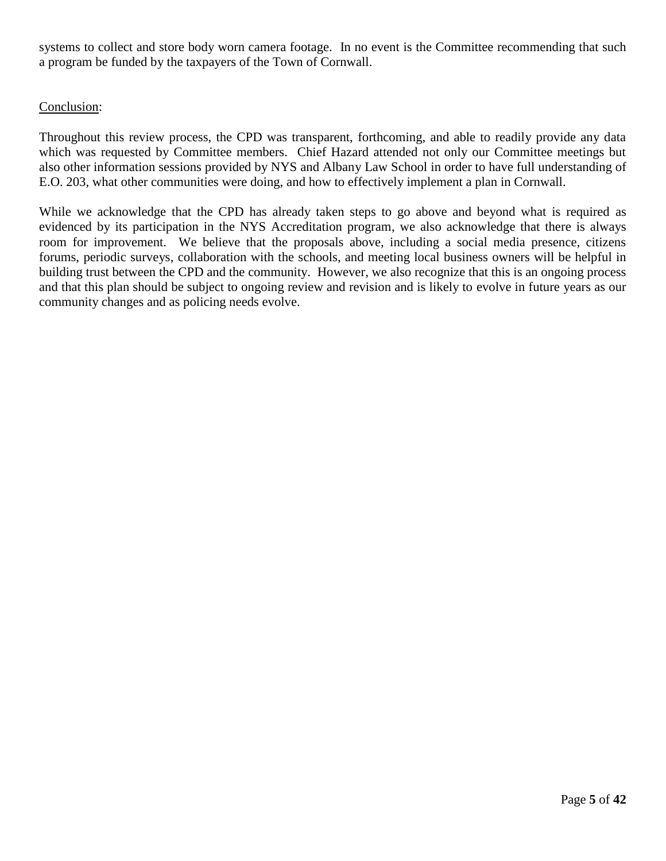systems to collect and store body worn camera footage. In no event is the Committee recommending that such a program be funded by the taxpayers of the Town of Cornwall.

#### Conclusion:

Throughout this review process, the CPD was transparent, forthcoming, and able to readily provide any data which was requested by Committee members. Chief Hazard attended not only our Committee meetings but also other information sessions provided by NYS and Albany Law School in order to have full understanding of E.O. 203, what other communities were doing, and how to effectively implement a plan in Cornwall.

While we acknowledge that the CPD has already taken steps to go above and beyond what is required as evidenced by its participation in the NYS Accreditation program, we also acknowledge that there is always room for improvement. We believe that the proposals above, including a social media presence, citizens forums, periodic surveys, collaboration with the schools, and meeting local business owners will be helpful in building trust between the CPD and the community. However, we also recognize that this is an ongoing process and that this plan should be subject to ongoing review and revision and is likely to evolve in future years as our community changes and as policing needs evolve.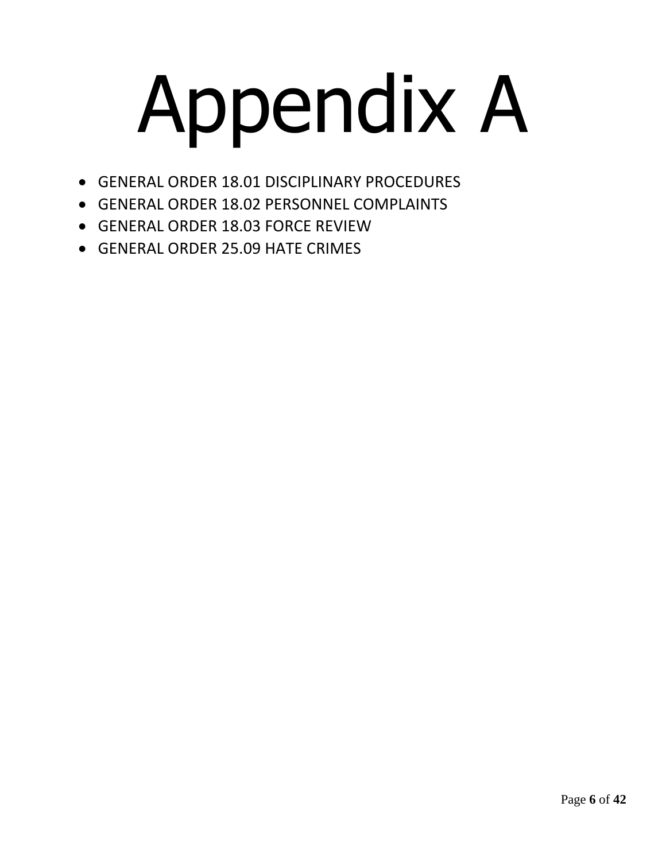# Appendix A

- GENERAL ORDER 18.01 DISCIPLINARY PROCEDURES
- GENERAL ORDER 18.02 PERSONNEL COMPLAINTS
- GENERAL ORDER 18.03 FORCE REVIEW
- GENERAL ORDER 25.09 HATE CRIMES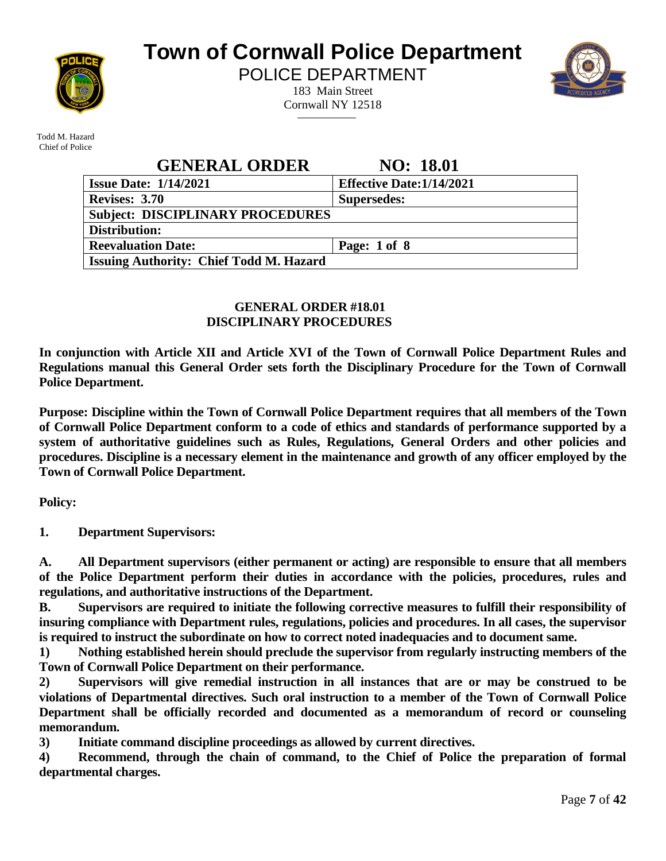

**Town of Cornwall Police Department**

POLICE DEPARTMENT 183 Main Street Cornwall NY 12518



Todd M. Hazard Chief of Police

 **GENERAL ORDER NO: 18.01**

| <b>Issue Date: 1/14/2021</b>                   | <b>Effective Date:1/14/2021</b> |  |
|------------------------------------------------|---------------------------------|--|
| <b>Revises: 3.70</b>                           | <b>Supersedes:</b>              |  |
| <b>Subject: DISCIPLINARY PROCEDURES</b>        |                                 |  |
| Distribution:                                  |                                 |  |
| <b>Reevaluation Date:</b>                      | Page: 1 of 8                    |  |
| <b>Issuing Authority: Chief Todd M. Hazard</b> |                                 |  |

#### **GENERAL ORDER #18.01 DISCIPLINARY PROCEDURES**

**In conjunction with Article XII and Article XVI of the Town of Cornwall Police Department Rules and Regulations manual this General Order sets forth the Disciplinary Procedure for the Town of Cornwall Police Department.**

**Purpose: Discipline within the Town of Cornwall Police Department requires that all members of the Town of Cornwall Police Department conform to a code of ethics and standards of performance supported by a system of authoritative guidelines such as Rules, Regulations, General Orders and other policies and procedures. Discipline is a necessary element in the maintenance and growth of any officer employed by the Town of Cornwall Police Department.** 

**Policy:**

**1. Department Supervisors:**

**A. All Department supervisors (either permanent or acting) are responsible to ensure that all members of the Police Department perform their duties in accordance with the policies, procedures, rules and regulations, and authoritative instructions of the Department.**

**B. Supervisors are required to initiate the following corrective measures to fulfill their responsibility of insuring compliance with Department rules, regulations, policies and procedures. In all cases, the supervisor is required to instruct the subordinate on how to correct noted inadequacies and to document same.**

**1) Nothing established herein should preclude the supervisor from regularly instructing members of the Town of Cornwall Police Department on their performance.**

**2) Supervisors will give remedial instruction in all instances that are or may be construed to be violations of Departmental directives. Such oral instruction to a member of the Town of Cornwall Police Department shall be officially recorded and documented as a memorandum of record or counseling memorandum.**

**3) Initiate command discipline proceedings as allowed by current directives.**

**4) Recommend, through the chain of command, to the Chief of Police the preparation of formal departmental charges.**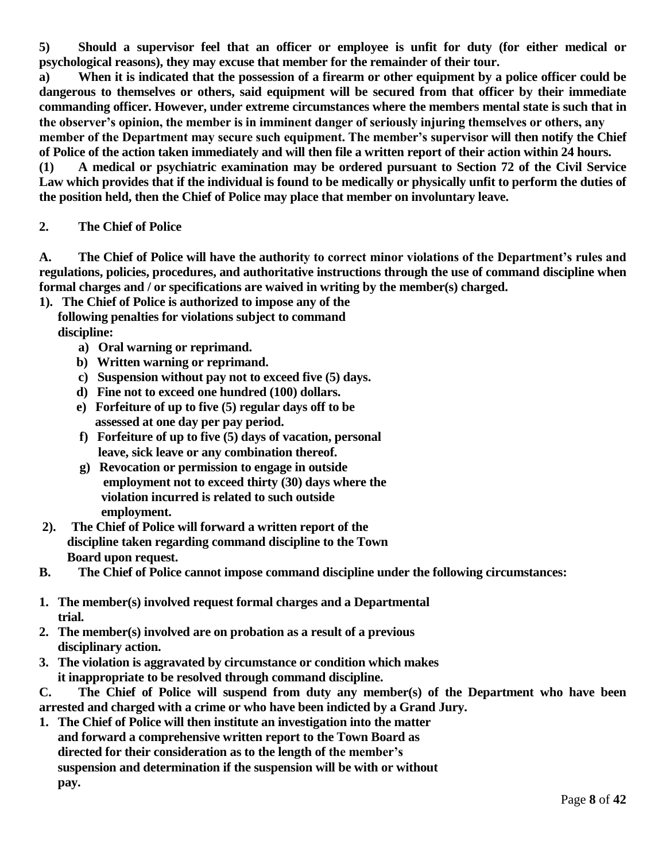**5) Should a supervisor feel that an officer or employee is unfit for duty (for either medical or psychological reasons), they may excuse that member for the remainder of their tour.**

**a) When it is indicated that the possession of a firearm or other equipment by a police officer could be dangerous to themselves or others, said equipment will be secured from that officer by their immediate commanding officer. However, under extreme circumstances where the members mental state is such that in the observer's opinion, the member is in imminent danger of seriously injuring themselves or others, any member of the Department may secure such equipment. The member's supervisor will then notify the Chief of Police of the action taken immediately and will then file a written report of their action within 24 hours.**

**(1) A medical or psychiatric examination may be ordered pursuant to Section 72 of the Civil Service Law which provides that if the individual is found to be medically or physically unfit to perform the duties of the position held, then the Chief of Police may place that member on involuntary leave.**

#### **2. The Chief of Police**

**A. The Chief of Police will have the authority to correct minor violations of the Department's rules and regulations, policies, procedures, and authoritative instructions through the use of command discipline when formal charges and / or specifications are waived in writing by the member(s) charged.**

- **1). The Chief of Police is authorized to impose any of the following penalties for violations subject to command discipline:**
	- **a) Oral warning or reprimand.**
	- **b) Written warning or reprimand.**
	- **c) Suspension without pay not to exceed five (5) days.**
	- **d) Fine not to exceed one hundred (100) dollars.**
	- **e) Forfeiture of up to five (5) regular days off to be assessed at one day per pay period.**
	- **f) Forfeiture of up to five (5) days of vacation, personal leave, sick leave or any combination thereof.**
	- **g) Revocation or permission to engage in outside employment not to exceed thirty (30) days where the violation incurred is related to such outside employment.**
- **2). The Chief of Police will forward a written report of the discipline taken regarding command discipline to the Town Board upon request.**
- **B. The Chief of Police cannot impose command discipline under the following circumstances:**
- **1. The member(s) involved request formal charges and a Departmental trial.**
- **2. The member(s) involved are on probation as a result of a previous disciplinary action.**
- **3. The violation is aggravated by circumstance or condition which makes it inappropriate to be resolved through command discipline.**
- **C. The Chief of Police will suspend from duty any member(s) of the Department who have been arrested and charged with a crime or who have been indicted by a Grand Jury.**
- **1. The Chief of Police will then institute an investigation into the matter and forward a comprehensive written report to the Town Board as directed for their consideration as to the length of the member's suspension and determination if the suspension will be with or without pay.**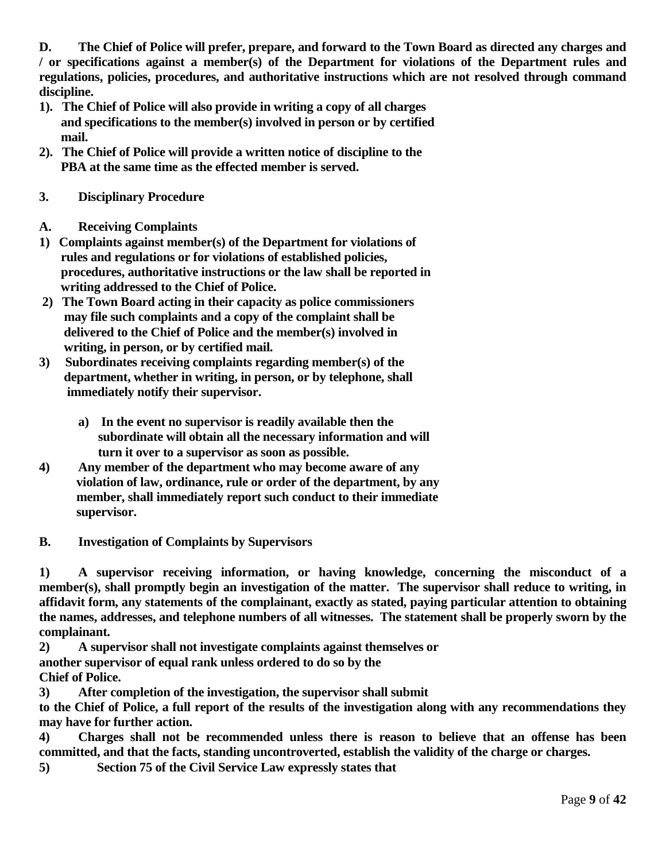**D. The Chief of Police will prefer, prepare, and forward to the Town Board as directed any charges and / or specifications against a member(s) of the Department for violations of the Department rules and regulations, policies, procedures, and authoritative instructions which are not resolved through command discipline.**

- **1). The Chief of Police will also provide in writing a copy of all charges and specifications to the member(s) involved in person or by certified mail.**
- **2). The Chief of Police will provide a written notice of discipline to the PBA at the same time as the effected member is served.**
- **3. Disciplinary Procedure**
- **A. Receiving Complaints**
- **1) Complaints against member(s) of the Department for violations of rules and regulations or for violations of established policies, procedures, authoritative instructions or the law shall be reported in writing addressed to the Chief of Police.**
- **2) The Town Board acting in their capacity as police commissioners may file such complaints and a copy of the complaint shall be delivered to the Chief of Police and the member(s) involved in writing, in person, or by certified mail.**
- **3) Subordinates receiving complaints regarding member(s) of the department, whether in writing, in person, or by telephone, shall immediately notify their supervisor.**
	- **a) In the event no supervisor is readily available then the subordinate will obtain all the necessary information and will turn it over to a supervisor as soon as possible.**
- **4) Any member of the department who may become aware of any violation of law, ordinance, rule or order of the department, by any member, shall immediately report such conduct to their immediate supervisor.**
- **B. Investigation of Complaints by Supervisors**

**1) A supervisor receiving information, or having knowledge, concerning the misconduct of a member(s), shall promptly begin an investigation of the matter. The supervisor shall reduce to writing, in affidavit form, any statements of the complainant, exactly as stated, paying particular attention to obtaining the names, addresses, and telephone numbers of all witnesses. The statement shall be properly sworn by the complainant.**

**2) A supervisor shall not investigate complaints against themselves or** 

**another supervisor of equal rank unless ordered to do so by the Chief of Police.**

**3) After completion of the investigation, the supervisor shall submit** 

**to the Chief of Police, a full report of the results of the investigation along with any recommendations they may have for further action.**

**4) Charges shall not be recommended unless there is reason to believe that an offense has been committed, and that the facts, standing uncontroverted, establish the validity of the charge or charges.**

**5) Section 75 of the Civil Service Law expressly states that**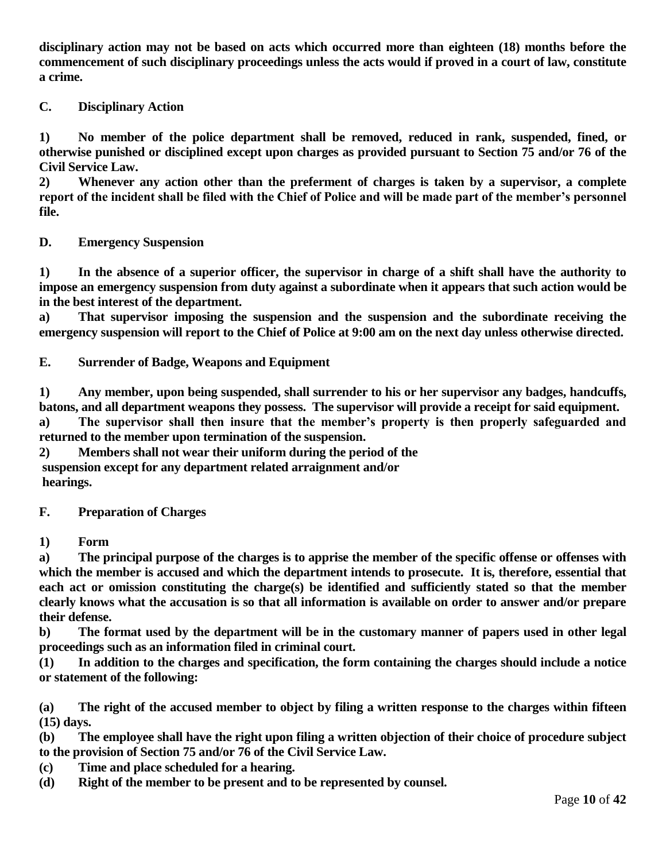**disciplinary action may not be based on acts which occurred more than eighteen (18) months before the commencement of such disciplinary proceedings unless the acts would if proved in a court of law, constitute a crime.**

#### **C. Disciplinary Action**

**1) No member of the police department shall be removed, reduced in rank, suspended, fined, or otherwise punished or disciplined except upon charges as provided pursuant to Section 75 and/or 76 of the Civil Service Law.**

**2) Whenever any action other than the preferment of charges is taken by a supervisor, a complete report of the incident shall be filed with the Chief of Police and will be made part of the member's personnel file.**

#### **D. Emergency Suspension**

**1) In the absence of a superior officer, the supervisor in charge of a shift shall have the authority to impose an emergency suspension from duty against a subordinate when it appears that such action would be in the best interest of the department.**

**a) That supervisor imposing the suspension and the suspension and the subordinate receiving the emergency suspension will report to the Chief of Police at 9:00 am on the next day unless otherwise directed.**

**E. Surrender of Badge, Weapons and Equipment**

**1) Any member, upon being suspended, shall surrender to his or her supervisor any badges, handcuffs, batons, and all department weapons they possess. The supervisor will provide a receipt for said equipment.**

**a) The supervisor shall then insure that the member's property is then properly safeguarded and returned to the member upon termination of the suspension.**

**2) Members shall not wear their uniform during the period of the suspension except for any department related arraignment and/or hearings.**

**F. Preparation of Charges**

**1) Form**

**a) The principal purpose of the charges is to apprise the member of the specific offense or offenses with which the member is accused and which the department intends to prosecute. It is, therefore, essential that each act or omission constituting the charge(s) be identified and sufficiently stated so that the member clearly knows what the accusation is so that all information is available on order to answer and/or prepare their defense.**

**b) The format used by the department will be in the customary manner of papers used in other legal proceedings such as an information filed in criminal court.**

**(1) In addition to the charges and specification, the form containing the charges should include a notice or statement of the following:**

**(a) The right of the accused member to object by filing a written response to the charges within fifteen (15) days.**

**(b) The employee shall have the right upon filing a written objection of their choice of procedure subject to the provision of Section 75 and/or 76 of the Civil Service Law.**

- **(c) Time and place scheduled for a hearing.**
- **(d) Right of the member to be present and to be represented by counsel.**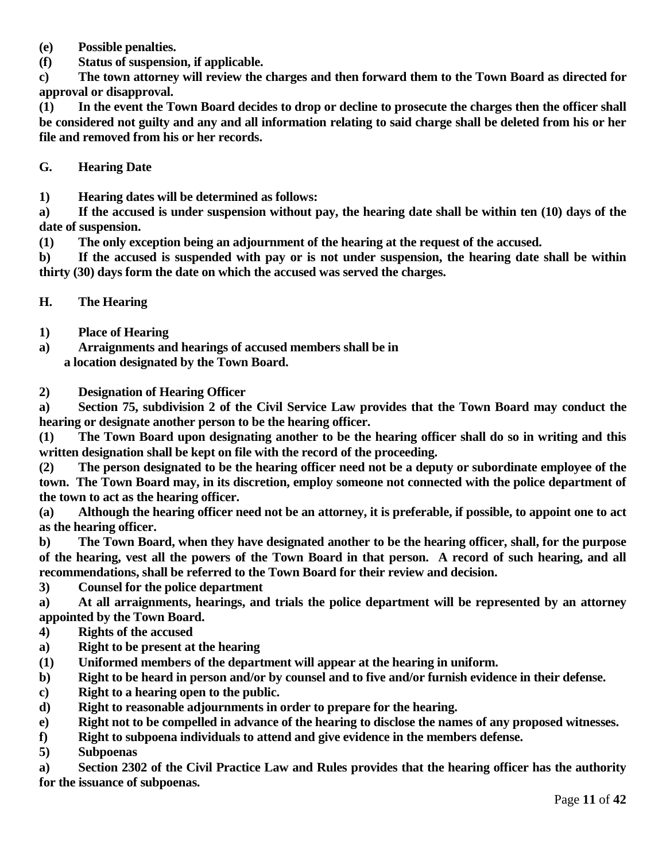**(e) Possible penalties.**

**(f) Status of suspension, if applicable.**

**c) The town attorney will review the charges and then forward them to the Town Board as directed for approval or disapproval.**

**(1) In the event the Town Board decides to drop or decline to prosecute the charges then the officer shall be considered not guilty and any and all information relating to said charge shall be deleted from his or her file and removed from his or her records.**

**G. Hearing Date**

**1) Hearing dates will be determined as follows:**

**a) If the accused is under suspension without pay, the hearing date shall be within ten (10) days of the date of suspension.**

**(1) The only exception being an adjournment of the hearing at the request of the accused.**

**b) If the accused is suspended with pay or is not under suspension, the hearing date shall be within thirty (30) days form the date on which the accused was served the charges.**

- **H. The Hearing**
- **1) Place of Hearing**
- **a) Arraignments and hearings of accused members shall be in a location designated by the Town Board.**

**2) Designation of Hearing Officer**

**a) Section 75, subdivision 2 of the Civil Service Law provides that the Town Board may conduct the hearing or designate another person to be the hearing officer.**

**(1) The Town Board upon designating another to be the hearing officer shall do so in writing and this written designation shall be kept on file with the record of the proceeding.**

**(2) The person designated to be the hearing officer need not be a deputy or subordinate employee of the town. The Town Board may, in its discretion, employ someone not connected with the police department of the town to act as the hearing officer.**

**(a) Although the hearing officer need not be an attorney, it is preferable, if possible, to appoint one to act as the hearing officer.**

**b) The Town Board, when they have designated another to be the hearing officer, shall, for the purpose of the hearing, vest all the powers of the Town Board in that person. A record of such hearing, and all recommendations, shall be referred to the Town Board for their review and decision.**

**3) Counsel for the police department**

**a) At all arraignments, hearings, and trials the police department will be represented by an attorney appointed by the Town Board.**

- **4) Rights of the accused**
- **a) Right to be present at the hearing**
- **(1) Uniformed members of the department will appear at the hearing in uniform.**
- **b) Right to be heard in person and/or by counsel and to five and/or furnish evidence in their defense.**
- **c) Right to a hearing open to the public.**
- **d) Right to reasonable adjournments in order to prepare for the hearing.**
- **e) Right not to be compelled in advance of the hearing to disclose the names of any proposed witnesses.**
- **f) Right to subpoena individuals to attend and give evidence in the members defense.**
- **5) Subpoenas**

**a) Section 2302 of the Civil Practice Law and Rules provides that the hearing officer has the authority for the issuance of subpoenas.**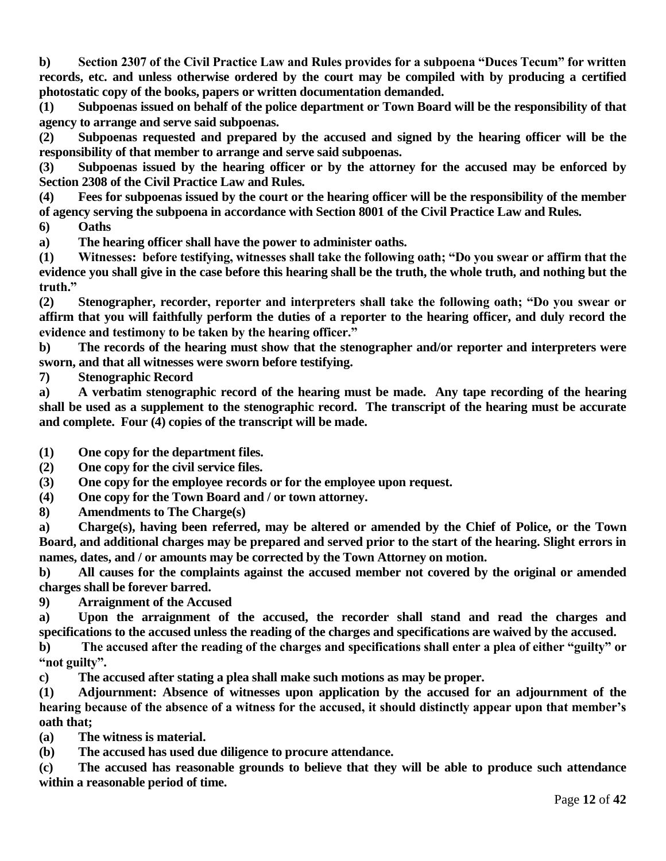**b) Section 2307 of the Civil Practice Law and Rules provides for a subpoena "Duces Tecum" for written records, etc. and unless otherwise ordered by the court may be compiled with by producing a certified photostatic copy of the books, papers or written documentation demanded.**

**(1) Subpoenas issued on behalf of the police department or Town Board will be the responsibility of that agency to arrange and serve said subpoenas.**

**(2) Subpoenas requested and prepared by the accused and signed by the hearing officer will be the responsibility of that member to arrange and serve said subpoenas.**

**(3) Subpoenas issued by the hearing officer or by the attorney for the accused may be enforced by Section 2308 of the Civil Practice Law and Rules.**

**(4) Fees for subpoenas issued by the court or the hearing officer will be the responsibility of the member of agency serving the subpoena in accordance with Section 8001 of the Civil Practice Law and Rules.**

**6) Oaths**

**a) The hearing officer shall have the power to administer oaths.**

**(1) Witnesses: before testifying, witnesses shall take the following oath; "Do you swear or affirm that the evidence you shall give in the case before this hearing shall be the truth, the whole truth, and nothing but the truth."**

**(2) Stenographer, recorder, reporter and interpreters shall take the following oath; "Do you swear or affirm that you will faithfully perform the duties of a reporter to the hearing officer, and duly record the evidence and testimony to be taken by the hearing officer."**

**b) The records of the hearing must show that the stenographer and/or reporter and interpreters were sworn, and that all witnesses were sworn before testifying.**

**7) Stenographic Record**

**a) A verbatim stenographic record of the hearing must be made. Any tape recording of the hearing shall be used as a supplement to the stenographic record. The transcript of the hearing must be accurate and complete. Four (4) copies of the transcript will be made.**

**(1) One copy for the department files.**

- **(2) One copy for the civil service files.**
- **(3) One copy for the employee records or for the employee upon request.**
- **(4) One copy for the Town Board and / or town attorney.**
- **8) Amendments to The Charge(s)**

**a) Charge(s), having been referred, may be altered or amended by the Chief of Police, or the Town Board, and additional charges may be prepared and served prior to the start of the hearing. Slight errors in names, dates, and / or amounts may be corrected by the Town Attorney on motion.**

**b) All causes for the complaints against the accused member not covered by the original or amended charges shall be forever barred.**

**9) Arraignment of the Accused**

**a) Upon the arraignment of the accused, the recorder shall stand and read the charges and specifications to the accused unless the reading of the charges and specifications are waived by the accused.** 

**b) The accused after the reading of the charges and specifications shall enter a plea of either "guilty" or "not guilty".**

**c) The accused after stating a plea shall make such motions as may be proper.**

**(1) Adjournment: Absence of witnesses upon application by the accused for an adjournment of the hearing because of the absence of a witness for the accused, it should distinctly appear upon that member's oath that;**

**(a) The witness is material.**

**(b) The accused has used due diligence to procure attendance.**

**(c) The accused has reasonable grounds to believe that they will be able to produce such attendance within a reasonable period of time.**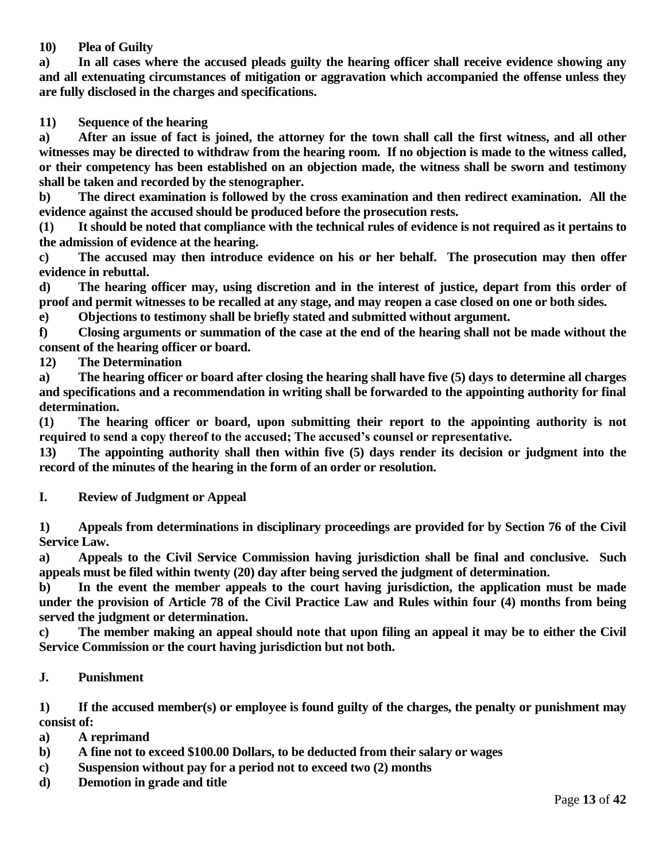**10) Plea of Guilty**

**a) In all cases where the accused pleads guilty the hearing officer shall receive evidence showing any and all extenuating circumstances of mitigation or aggravation which accompanied the offense unless they are fully disclosed in the charges and specifications.**

**11) Sequence of the hearing**

**a) After an issue of fact is joined, the attorney for the town shall call the first witness, and all other witnesses may be directed to withdraw from the hearing room. If no objection is made to the witness called, or their competency has been established on an objection made, the witness shall be sworn and testimony shall be taken and recorded by the stenographer.**

**b) The direct examination is followed by the cross examination and then redirect examination. All the evidence against the accused should be produced before the prosecution rests.**

**(1) It should be noted that compliance with the technical rules of evidence is not required as it pertains to the admission of evidence at the hearing.**

**c) The accused may then introduce evidence on his or her behalf. The prosecution may then offer evidence in rebuttal.**

**d) The hearing officer may, using discretion and in the interest of justice, depart from this order of proof and permit witnesses to be recalled at any stage, and may reopen a case closed on one or both sides.**

**e) Objections to testimony shall be briefly stated and submitted without argument.**

**f) Closing arguments or summation of the case at the end of the hearing shall not be made without the consent of the hearing officer or board.**

**12) The Determination**

**a) The hearing officer or board after closing the hearing shall have five (5) days to determine all charges and specifications and a recommendation in writing shall be forwarded to the appointing authority for final determination.**

**(1) The hearing officer or board, upon submitting their report to the appointing authority is not required to send a copy thereof to the accused; The accused's counsel or representative.**

**13) The appointing authority shall then within five (5) days render its decision or judgment into the record of the minutes of the hearing in the form of an order or resolution.**

**I. Review of Judgment or Appeal**

**1) Appeals from determinations in disciplinary proceedings are provided for by Section 76 of the Civil Service Law.**

**a) Appeals to the Civil Service Commission having jurisdiction shall be final and conclusive. Such appeals must be filed within twenty (20) day after being served the judgment of determination.**

**b) In the event the member appeals to the court having jurisdiction, the application must be made under the provision of Article 78 of the Civil Practice Law and Rules within four (4) months from being served the judgment or determination.**

**c) The member making an appeal should note that upon filing an appeal it may be to either the Civil Service Commission or the court having jurisdiction but not both.**

**J. Punishment**

**1) If the accused member(s) or employee is found guilty of the charges, the penalty or punishment may consist of:** 

**a) A reprimand**

- **b) A fine not to exceed \$100.00 Dollars, to be deducted from their salary or wages**
- **c) Suspension without pay for a period not to exceed two (2) months**
- **d) Demotion in grade and title**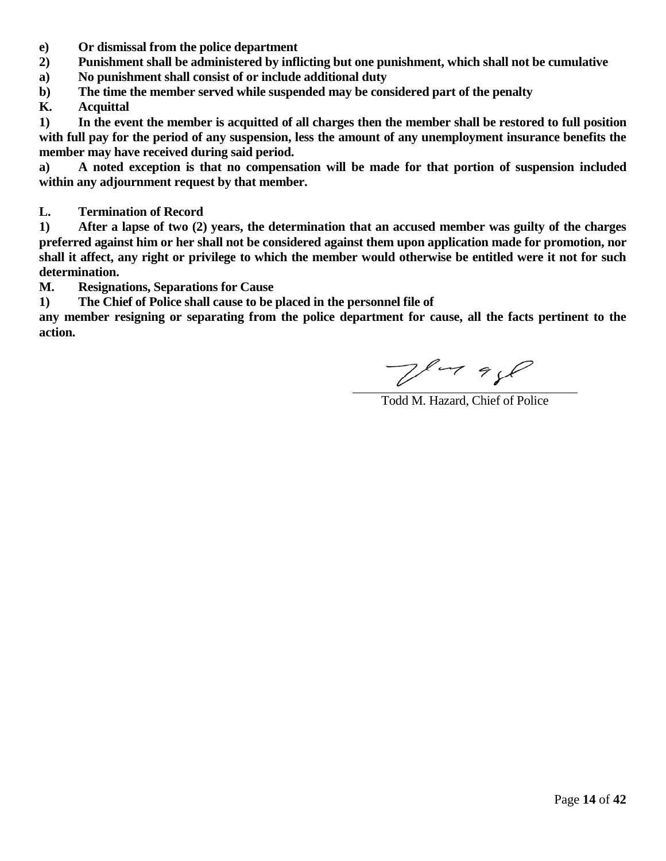- **e) Or dismissal from the police department**
- **2) Punishment shall be administered by inflicting but one punishment, which shall not be cumulative**
- **a) No punishment shall consist of or include additional duty**
- **b) The time the member served while suspended may be considered part of the penalty**
- **K. Acquittal**

**1) In the event the member is acquitted of all charges then the member shall be restored to full position with full pay for the period of any suspension, less the amount of any unemployment insurance benefits the member may have received during said period.**

**a) A noted exception is that no compensation will be made for that portion of suspension included within any adjournment request by that member.**

**L. Termination of Record**

**1) After a lapse of two (2) years, the determination that an accused member was guilty of the charges preferred against him or her shall not be considered against them upon application made for promotion, nor shall it affect, any right or privilege to which the member would otherwise be entitled were it not for such determination.**

**M. Resignations, Separations for Cause**

**1) The Chief of Police shall cause to be placed in the personnel file of** 

**any member resigning or separating from the police department for cause, all the facts pertinent to the action.**

Jen 9gl

Todd M. Hazard, Chief of Police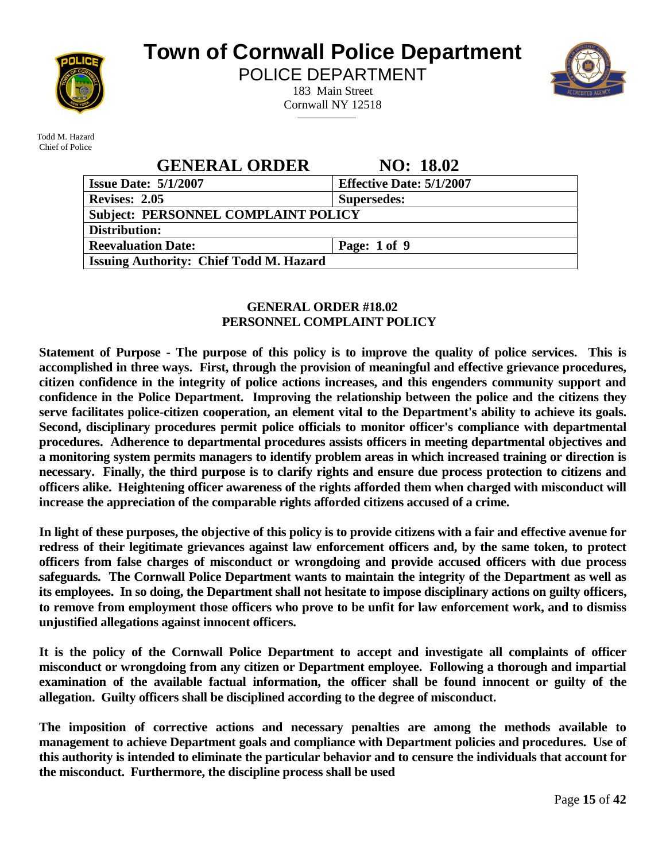

**Town of Cornwall Police Department**

POLICE DEPARTMENT 183 Main Street Cornwall NY 12518



Todd M. Hazard Chief of Police

**CENERAL ORDER NO: 18.02** 

| VENERAL VRDER                                  | 11V. 10.VZ                      |
|------------------------------------------------|---------------------------------|
| <b>Issue Date: 5/1/2007</b>                    | <b>Effective Date: 5/1/2007</b> |
| <b>Revises: 2.05</b>                           | <b>Supersedes:</b>              |
| <b>Subject: PERSONNEL COMPLAINT POLICY</b>     |                                 |
| Distribution:                                  |                                 |
| <b>Reevaluation Date:</b>                      | Page: 1 of 9                    |
| <b>Issuing Authority: Chief Todd M. Hazard</b> |                                 |

#### **GENERAL ORDER #18.02 PERSONNEL COMPLAINT POLICY**

**Statement of Purpose - The purpose of this policy is to improve the quality of police services. This is accomplished in three ways. First, through the provision of meaningful and effective grievance procedures, citizen confidence in the integrity of police actions increases, and this engenders community support and confidence in the Police Department. Improving the relationship between the police and the citizens they serve facilitates police-citizen cooperation, an element vital to the Department's ability to achieve its goals. Second, disciplinary procedures permit police officials to monitor officer's compliance with departmental procedures. Adherence to departmental procedures assists officers in meeting departmental objectives and a monitoring system permits managers to identify problem areas in which increased training or direction is necessary. Finally, the third purpose is to clarify rights and ensure due process protection to citizens and officers alike. Heightening officer awareness of the rights afforded them when charged with misconduct will increase the appreciation of the comparable rights afforded citizens accused of a crime.**

**In light of these purposes, the objective of this policy is to provide citizens with a fair and effective avenue for redress of their legitimate grievances against law enforcement officers and, by the same token, to protect officers from false charges of misconduct or wrongdoing and provide accused officers with due process safeguards. The Cornwall Police Department wants to maintain the integrity of the Department as well as its employees. In so doing, the Department shall not hesitate to impose disciplinary actions on guilty officers, to remove from employment those officers who prove to be unfit for law enforcement work, and to dismiss unjustified allegations against innocent officers.**

**It is the policy of the Cornwall Police Department to accept and investigate all complaints of officer misconduct or wrongdoing from any citizen or Department employee. Following a thorough and impartial examination of the available factual information, the officer shall be found innocent or guilty of the allegation. Guilty officers shall be disciplined according to the degree of misconduct.**

**The imposition of corrective actions and necessary penalties are among the methods available to management to achieve Department goals and compliance with Department policies and procedures. Use of this authority is intended to eliminate the particular behavior and to censure the individuals that account for the misconduct. Furthermore, the discipline process shall be used**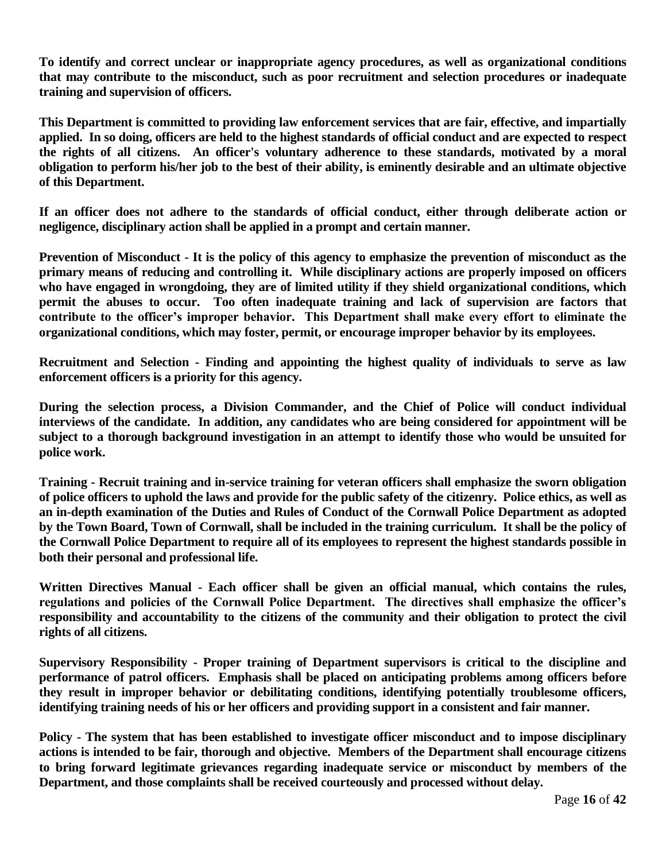**To identify and correct unclear or inappropriate agency procedures, as well as organizational conditions that may contribute to the misconduct, such as poor recruitment and selection procedures or inadequate training and supervision of officers.**

**This Department is committed to providing law enforcement services that are fair, effective, and impartially applied. In so doing, officers are held to the highest standards of official conduct and are expected to respect the rights of all citizens. An officer's voluntary adherence to these standards, motivated by a moral obligation to perform his/her job to the best of their ability, is eminently desirable and an ultimate objective of this Department.**

**If an officer does not adhere to the standards of official conduct, either through deliberate action or negligence, disciplinary action shall be applied in a prompt and certain manner.**

**Prevention of Misconduct - It is the policy of this agency to emphasize the prevention of misconduct as the primary means of reducing and controlling it. While disciplinary actions are properly imposed on officers who have engaged in wrongdoing, they are of limited utility if they shield organizational conditions, which permit the abuses to occur. Too often inadequate training and lack of supervision are factors that contribute to the officer's improper behavior. This Department shall make every effort to eliminate the organizational conditions, which may foster, permit, or encourage improper behavior by its employees.**

**Recruitment and Selection - Finding and appointing the highest quality of individuals to serve as law enforcement officers is a priority for this agency.**

**During the selection process, a Division Commander, and the Chief of Police will conduct individual interviews of the candidate. In addition, any candidates who are being considered for appointment will be subject to a thorough background investigation in an attempt to identify those who would be unsuited for police work.**

**Training - Recruit training and in-service training for veteran officers shall emphasize the sworn obligation of police officers to uphold the laws and provide for the public safety of the citizenry. Police ethics, as well as an in-depth examination of the Duties and Rules of Conduct of the Cornwall Police Department as adopted by the Town Board, Town of Cornwall, shall be included in the training curriculum. It shall be the policy of the Cornwall Police Department to require all of its employees to represent the highest standards possible in both their personal and professional life.**

**Written Directives Manual - Each officer shall be given an official manual, which contains the rules, regulations and policies of the Cornwall Police Department. The directives shall emphasize the officer's responsibility and accountability to the citizens of the community and their obligation to protect the civil rights of all citizens.**

**Supervisory Responsibility - Proper training of Department supervisors is critical to the discipline and performance of patrol officers. Emphasis shall be placed on anticipating problems among officers before they result in improper behavior or debilitating conditions, identifying potentially troublesome officers, identifying training needs of his or her officers and providing support in a consistent and fair manner.**

**Policy - The system that has been established to investigate officer misconduct and to impose disciplinary actions is intended to be fair, thorough and objective. Members of the Department shall encourage citizens to bring forward legitimate grievances regarding inadequate service or misconduct by members of the Department, and those complaints shall be received courteously and processed without delay.**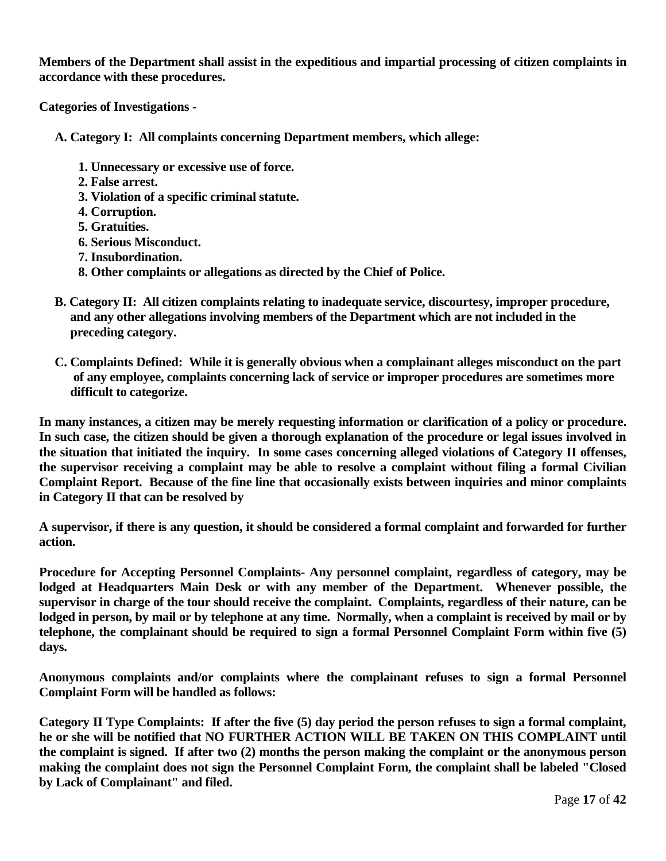**Members of the Department shall assist in the expeditious and impartial processing of citizen complaints in accordance with these procedures.**

**Categories of Investigations -**

 **A. Category I: All complaints concerning Department members, which allege:**

- **1. Unnecessary or excessive use of force.**
- **2. False arrest.**
- **3. Violation of a specific criminal statute.**
- **4. Corruption.**
- **5. Gratuities.**
- **6. Serious Misconduct.**
- **7. Insubordination.**
- **8. Other complaints or allegations as directed by the Chief of Police.**
- **B. Category II: All citizen complaints relating to inadequate service, discourtesy, improper procedure, and any other allegations involving members of the Department which are not included in the preceding category.**
- **C. Complaints Defined: While it is generally obvious when a complainant alleges misconduct on the part of any employee, complaints concerning lack of service or improper procedures are sometimes more difficult to categorize.**

**In many instances, a citizen may be merely requesting information or clarification of a policy or procedure. In such case, the citizen should be given a thorough explanation of the procedure or legal issues involved in the situation that initiated the inquiry. In some cases concerning alleged violations of Category II offenses, the supervisor receiving a complaint may be able to resolve a complaint without filing a formal Civilian Complaint Report. Because of the fine line that occasionally exists between inquiries and minor complaints in Category II that can be resolved by** 

**A supervisor, if there is any question, it should be considered a formal complaint and forwarded for further action.**

**Procedure for Accepting Personnel Complaints- Any personnel complaint, regardless of category, may be lodged at Headquarters Main Desk or with any member of the Department. Whenever possible, the supervisor in charge of the tour should receive the complaint. Complaints, regardless of their nature, can be lodged in person, by mail or by telephone at any time. Normally, when a complaint is received by mail or by telephone, the complainant should be required to sign a formal Personnel Complaint Form within five (5) days.** 

**Anonymous complaints and/or complaints where the complainant refuses to sign a formal Personnel Complaint Form will be handled as follows:** 

**Category II Type Complaints: If after the five (5) day period the person refuses to sign a formal complaint, he or she will be notified that NO FURTHER ACTION WILL BE TAKEN ON THIS COMPLAINT until the complaint is signed. If after two (2) months the person making the complaint or the anonymous person making the complaint does not sign the Personnel Complaint Form, the complaint shall be labeled "Closed by Lack of Complainant" and filed.**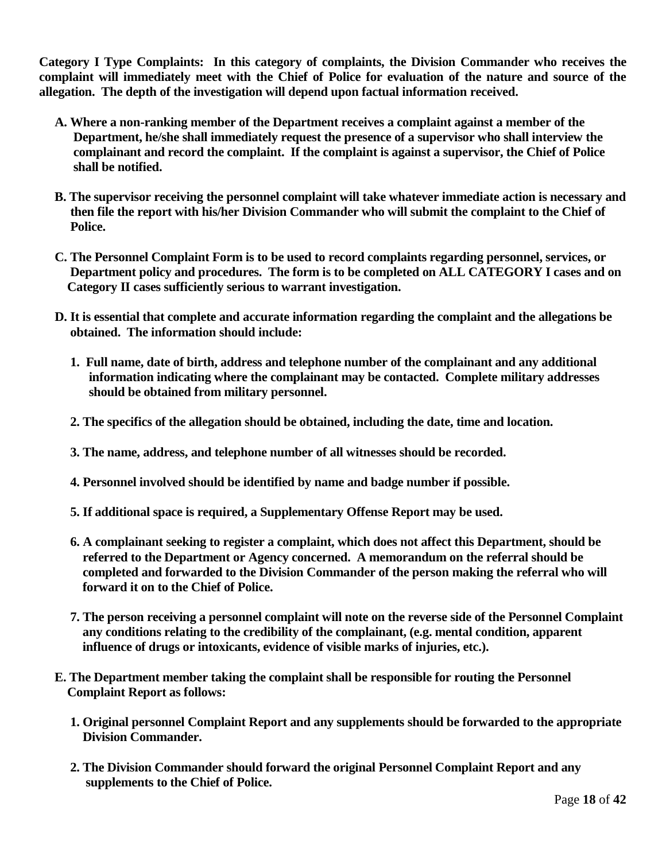**Category I Type Complaints: In this category of complaints, the Division Commander who receives the complaint will immediately meet with the Chief of Police for evaluation of the nature and source of the allegation. The depth of the investigation will depend upon factual information received.**

- **A. Where a non-ranking member of the Department receives a complaint against a member of the Department, he/she shall immediately request the presence of a supervisor who shall interview the complainant and record the complaint. If the complaint is against a supervisor, the Chief of Police shall be notified.**
- **B. The supervisor receiving the personnel complaint will take whatever immediate action is necessary and then file the report with his/her Division Commander who will submit the complaint to the Chief of Police.**
- **C. The Personnel Complaint Form is to be used to record complaints regarding personnel, services, or Department policy and procedures. The form is to be completed on ALL CATEGORY I cases and on Category II cases sufficiently serious to warrant investigation.**
- **D. It is essential that complete and accurate information regarding the complaint and the allegations be obtained. The information should include:**
	- **1. Full name, date of birth, address and telephone number of the complainant and any additional information indicating where the complainant may be contacted. Complete military addresses should be obtained from military personnel.**
	- **2. The specifics of the allegation should be obtained, including the date, time and location.**
	- **3. The name, address, and telephone number of all witnesses should be recorded.**
	- **4. Personnel involved should be identified by name and badge number if possible.**
	- **5. If additional space is required, a Supplementary Offense Report may be used.**
	- **6. A complainant seeking to register a complaint, which does not affect this Department, should be referred to the Department or Agency concerned. A memorandum on the referral should be completed and forwarded to the Division Commander of the person making the referral who will forward it on to the Chief of Police.**
	- **7. The person receiving a personnel complaint will note on the reverse side of the Personnel Complaint any conditions relating to the credibility of the complainant, (e.g. mental condition, apparent influence of drugs or intoxicants, evidence of visible marks of injuries, etc.).**
- **E. The Department member taking the complaint shall be responsible for routing the Personnel Complaint Report as follows:**
	- **1. Original personnel Complaint Report and any supplements should be forwarded to the appropriate Division Commander.**
	- **2. The Division Commander should forward the original Personnel Complaint Report and any supplements to the Chief of Police.**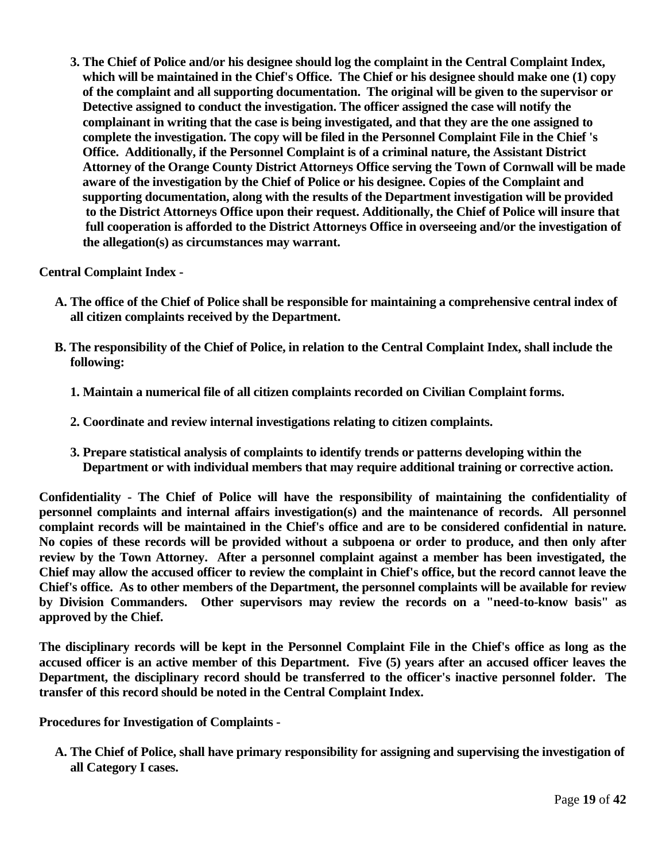**3. The Chief of Police and/or his designee should log the complaint in the Central Complaint Index, which will be maintained in the Chief's Office. The Chief or his designee should make one (1) copy of the complaint and all supporting documentation. The original will be given to the supervisor or Detective assigned to conduct the investigation. The officer assigned the case will notify the complainant in writing that the case is being investigated, and that they are the one assigned to complete the investigation. The copy will be filed in the Personnel Complaint File in the Chief 's Office. Additionally, if the Personnel Complaint is of a criminal nature, the Assistant District Attorney of the Orange County District Attorneys Office serving the Town of Cornwall will be made aware of the investigation by the Chief of Police or his designee. Copies of the Complaint and supporting documentation, along with the results of the Department investigation will be provided to the District Attorneys Office upon their request. Additionally, the Chief of Police will insure that full cooperation is afforded to the District Attorneys Office in overseeing and/or the investigation of the allegation(s) as circumstances may warrant.**

#### **Central Complaint Index -**

- **A. The office of the Chief of Police shall be responsible for maintaining a comprehensive central index of all citizen complaints received by the Department.**
- **B. The responsibility of the Chief of Police, in relation to the Central Complaint Index, shall include the following:**
	- **1. Maintain a numerical file of all citizen complaints recorded on Civilian Complaint forms.**
	- **2. Coordinate and review internal investigations relating to citizen complaints.**
	- **3. Prepare statistical analysis of complaints to identify trends or patterns developing within the Department or with individual members that may require additional training or corrective action.**

**Confidentiality - The Chief of Police will have the responsibility of maintaining the confidentiality of personnel complaints and internal affairs investigation(s) and the maintenance of records. All personnel complaint records will be maintained in the Chief's office and are to be considered confidential in nature. No copies of these records will be provided without a subpoena or order to produce, and then only after review by the Town Attorney. After a personnel complaint against a member has been investigated, the Chief may allow the accused officer to review the complaint in Chief's office, but the record cannot leave the Chief's office. As to other members of the Department, the personnel complaints will be available for review by Division Commanders. Other supervisors may review the records on a "need-to-know basis" as approved by the Chief.** 

**The disciplinary records will be kept in the Personnel Complaint File in the Chief's office as long as the accused officer is an active member of this Department. Five (5) years after an accused officer leaves the Department, the disciplinary record should be transferred to the officer's inactive personnel folder. The transfer of this record should be noted in the Central Complaint Index.**

**Procedures for Investigation of Complaints -**

 **A. The Chief of Police, shall have primary responsibility for assigning and supervising the investigation of all Category I cases.**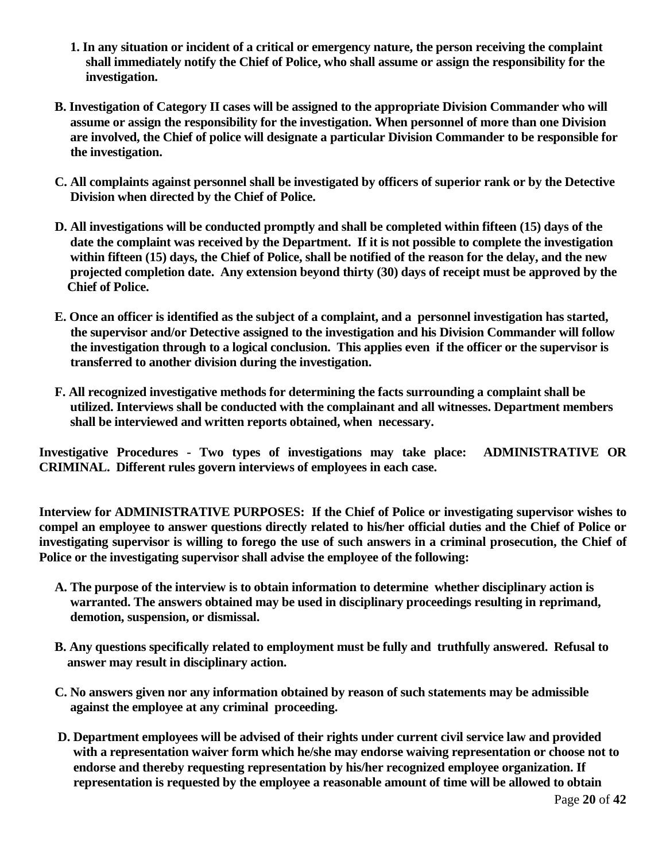- **1. In any situation or incident of a critical or emergency nature, the person receiving the complaint shall immediately notify the Chief of Police, who shall assume or assign the responsibility for the investigation.**
- **B. Investigation of Category II cases will be assigned to the appropriate Division Commander who will assume or assign the responsibility for the investigation. When personnel of more than one Division are involved, the Chief of police will designate a particular Division Commander to be responsible for the investigation.**
- **C. All complaints against personnel shall be investigated by officers of superior rank or by the Detective Division when directed by the Chief of Police.**
- **D. All investigations will be conducted promptly and shall be completed within fifteen (15) days of the date the complaint was received by the Department. If it is not possible to complete the investigation within fifteen (15) days, the Chief of Police, shall be notified of the reason for the delay, and the new projected completion date. Any extension beyond thirty (30) days of receipt must be approved by the Chief of Police.**
- **E. Once an officer is identified as the subject of a complaint, and a personnel investigation has started, the supervisor and/or Detective assigned to the investigation and his Division Commander will follow the investigation through to a logical conclusion. This applies even if the officer or the supervisor is transferred to another division during the investigation.**
- **F. All recognized investigative methods for determining the facts surrounding a complaint shall be utilized. Interviews shall be conducted with the complainant and all witnesses. Department members shall be interviewed and written reports obtained, when necessary.**

**Investigative Procedures - Two types of investigations may take place: ADMINISTRATIVE OR CRIMINAL. Different rules govern interviews of employees in each case.**

**Interview for ADMINISTRATIVE PURPOSES: If the Chief of Police or investigating supervisor wishes to compel an employee to answer questions directly related to his/her official duties and the Chief of Police or investigating supervisor is willing to forego the use of such answers in a criminal prosecution, the Chief of Police or the investigating supervisor shall advise the employee of the following:**

- **A. The purpose of the interview is to obtain information to determine whether disciplinary action is warranted. The answers obtained may be used in disciplinary proceedings resulting in reprimand, demotion, suspension, or dismissal.**
- **B. Any questions specifically related to employment must be fully and truthfully answered. Refusal to answer may result in disciplinary action.**
- **C. No answers given nor any information obtained by reason of such statements may be admissible against the employee at any criminal proceeding.**
- **D. Department employees will be advised of their rights under current civil service law and provided with a representation waiver form which he/she may endorse waiving representation or choose not to endorse and thereby requesting representation by his/her recognized employee organization. If representation is requested by the employee a reasonable amount of time will be allowed to obtain**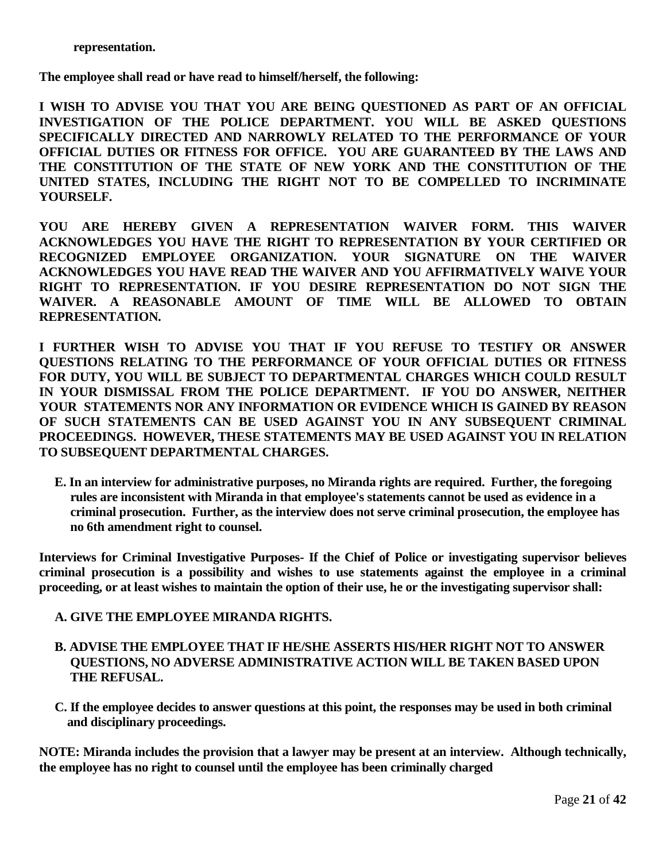**The employee shall read or have read to himself/herself, the following:**

**I WISH TO ADVISE YOU THAT YOU ARE BEING QUESTIONED AS PART OF AN OFFICIAL INVESTIGATION OF THE POLICE DEPARTMENT. YOU WILL BE ASKED QUESTIONS SPECIFICALLY DIRECTED AND NARROWLY RELATED TO THE PERFORMANCE OF YOUR OFFICIAL DUTIES OR FITNESS FOR OFFICE. YOU ARE GUARANTEED BY THE LAWS AND THE CONSTITUTION OF THE STATE OF NEW YORK AND THE CONSTITUTION OF THE UNITED STATES, INCLUDING THE RIGHT NOT TO BE COMPELLED TO INCRIMINATE YOURSELF.**

**YOU ARE HEREBY GIVEN A REPRESENTATION WAIVER FORM. THIS WAIVER ACKNOWLEDGES YOU HAVE THE RIGHT TO REPRESENTATION BY YOUR CERTIFIED OR RECOGNIZED EMPLOYEE ORGANIZATION. YOUR SIGNATURE ON THE WAIVER ACKNOWLEDGES YOU HAVE READ THE WAIVER AND YOU AFFIRMATIVELY WAIVE YOUR RIGHT TO REPRESENTATION. IF YOU DESIRE REPRESENTATION DO NOT SIGN THE WAIVER. A REASONABLE AMOUNT OF TIME WILL BE ALLOWED TO OBTAIN REPRESENTATION.**

**I FURTHER WISH TO ADVISE YOU THAT IF YOU REFUSE TO TESTIFY OR ANSWER QUESTIONS RELATING TO THE PERFORMANCE OF YOUR OFFICIAL DUTIES OR FITNESS FOR DUTY, YOU WILL BE SUBJECT TO DEPARTMENTAL CHARGES WHICH COULD RESULT IN YOUR DISMISSAL FROM THE POLICE DEPARTMENT. IF YOU DO ANSWER, NEITHER YOUR STATEMENTS NOR ANY INFORMATION OR EVIDENCE WHICH IS GAINED BY REASON OF SUCH STATEMENTS CAN BE USED AGAINST YOU IN ANY SUBSEQUENT CRIMINAL PROCEEDINGS. HOWEVER, THESE STATEMENTS MAY BE USED AGAINST YOU IN RELATION TO SUBSEQUENT DEPARTMENTAL CHARGES.**

 **E. In an interview for administrative purposes, no Miranda rights are required. Further, the foregoing rules are inconsistent with Miranda in that employee's statements cannot be used as evidence in a criminal prosecution. Further, as the interview does not serve criminal prosecution, the employee has no 6th amendment right to counsel.**

**Interviews for Criminal Investigative Purposes- If the Chief of Police or investigating supervisor believes criminal prosecution is a possibility and wishes to use statements against the employee in a criminal proceeding, or at least wishes to maintain the option of their use, he or the investigating supervisor shall:**

#### **A. GIVE THE EMPLOYEE MIRANDA RIGHTS.**

- **B. ADVISE THE EMPLOYEE THAT IF HE/SHE ASSERTS HIS/HER RIGHT NOT TO ANSWER QUESTIONS, NO ADVERSE ADMINISTRATIVE ACTION WILL BE TAKEN BASED UPON THE REFUSAL.**
- **C. If the employee decides to answer questions at this point, the responses may be used in both criminal and disciplinary proceedings.**

**NOTE: Miranda includes the provision that a lawyer may be present at an interview. Although technically, the employee has no right to counsel until the employee has been criminally charged**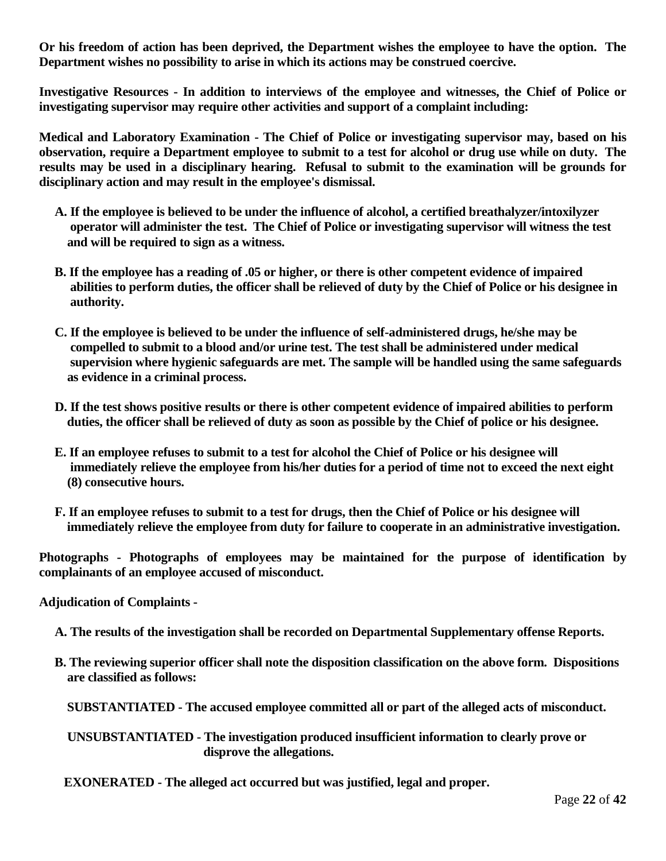**Or his freedom of action has been deprived, the Department wishes the employee to have the option. The Department wishes no possibility to arise in which its actions may be construed coercive.**

**Investigative Resources - In addition to interviews of the employee and witnesses, the Chief of Police or investigating supervisor may require other activities and support of a complaint including:**

**Medical and Laboratory Examination - The Chief of Police or investigating supervisor may, based on his observation, require a Department employee to submit to a test for alcohol or drug use while on duty. The results may be used in a disciplinary hearing. Refusal to submit to the examination will be grounds for disciplinary action and may result in the employee's dismissal.**

- **A. If the employee is believed to be under the influence of alcohol, a certified breathalyzer/intoxilyzer operator will administer the test. The Chief of Police or investigating supervisor will witness the test and will be required to sign as a witness.**
- **B. If the employee has a reading of .05 or higher, or there is other competent evidence of impaired abilities to perform duties, the officer shall be relieved of duty by the Chief of Police or his designee in authority.**
- **C. If the employee is believed to be under the influence of self-administered drugs, he/she may be compelled to submit to a blood and/or urine test. The test shall be administered under medical supervision where hygienic safeguards are met. The sample will be handled using the same safeguards as evidence in a criminal process.**
- **D. If the test shows positive results or there is other competent evidence of impaired abilities to perform duties, the officer shall be relieved of duty as soon as possible by the Chief of police or his designee.**
- **E. If an employee refuses to submit to a test for alcohol the Chief of Police or his designee will immediately relieve the employee from his/her duties for a period of time not to exceed the next eight (8) consecutive hours.**
- **F. If an employee refuses to submit to a test for drugs, then the Chief of Police or his designee will immediately relieve the employee from duty for failure to cooperate in an administrative investigation.**

**Photographs - Photographs of employees may be maintained for the purpose of identification by complainants of an employee accused of misconduct.**

**Adjudication of Complaints -**

- **A. The results of the investigation shall be recorded on Departmental Supplementary offense Reports.**
- **B. The reviewing superior officer shall note the disposition classification on the above form. Dispositions are classified as follows:**

 **SUBSTANTIATED - The accused employee committed all or part of the alleged acts of misconduct.** 

 **UNSUBSTANTIATED - The investigation produced insufficient information to clearly prove or disprove the allegations.**

 **EXONERATED - The alleged act occurred but was justified, legal and proper.**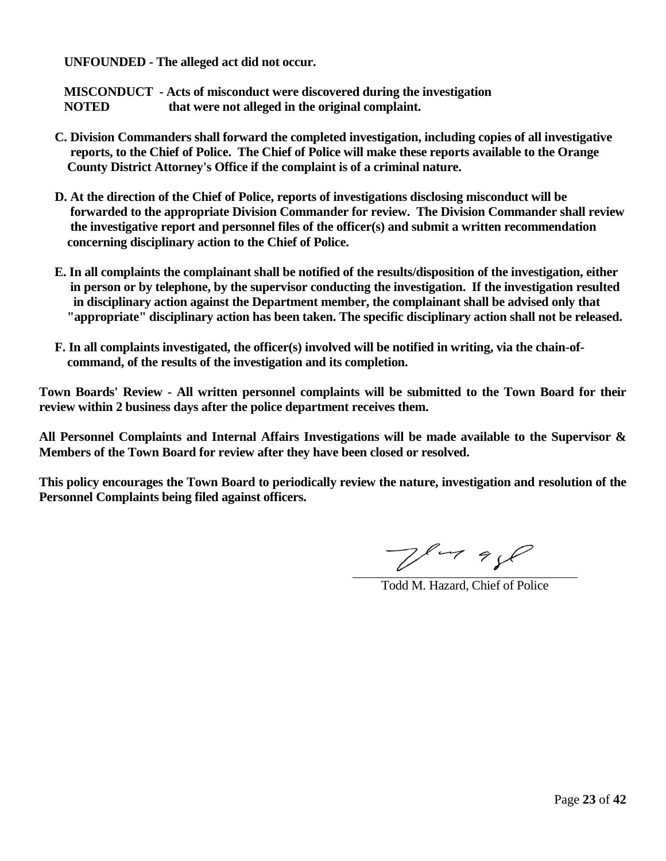**UNFOUNDED - The alleged act did not occur.**

 **MISCONDUCT - Acts of misconduct were discovered during the investigation NOTED that were not alleged in the original complaint.**

- **C. Division Commanders shall forward the completed investigation, including copies of all investigative reports, to the Chief of Police. The Chief of Police will make these reports available to the Orange County District Attorney's Office if the complaint is of a criminal nature.**
- **D. At the direction of the Chief of Police, reports of investigations disclosing misconduct will be forwarded to the appropriate Division Commander for review. The Division Commander shall review the investigative report and personnel files of the officer(s) and submit a written recommendation concerning disciplinary action to the Chief of Police.**
- **E. In all complaints the complainant shall be notified of the results/disposition of the investigation, either in person or by telephone, by the supervisor conducting the investigation. If the investigation resulted in disciplinary action against the Department member, the complainant shall be advised only that "appropriate" disciplinary action has been taken. The specific disciplinary action shall not be released.**
- **F. In all complaints investigated, the officer(s) involved will be notified in writing, via the chain-of command, of the results of the investigation and its completion.**

**Town Boards' Review - All written personnel complaints will be submitted to the Town Board for their review within 2 business days after the police department receives them.** 

**All Personnel Complaints and Internal Affairs Investigations will be made available to the Supervisor & Members of the Town Board for review after they have been closed or resolved.** 

**This policy encourages the Town Board to periodically review the nature, investigation and resolution of the Personnel Complaints being filed against officers.** 

Jen 9gl

Todd M. Hazard, Chief of Police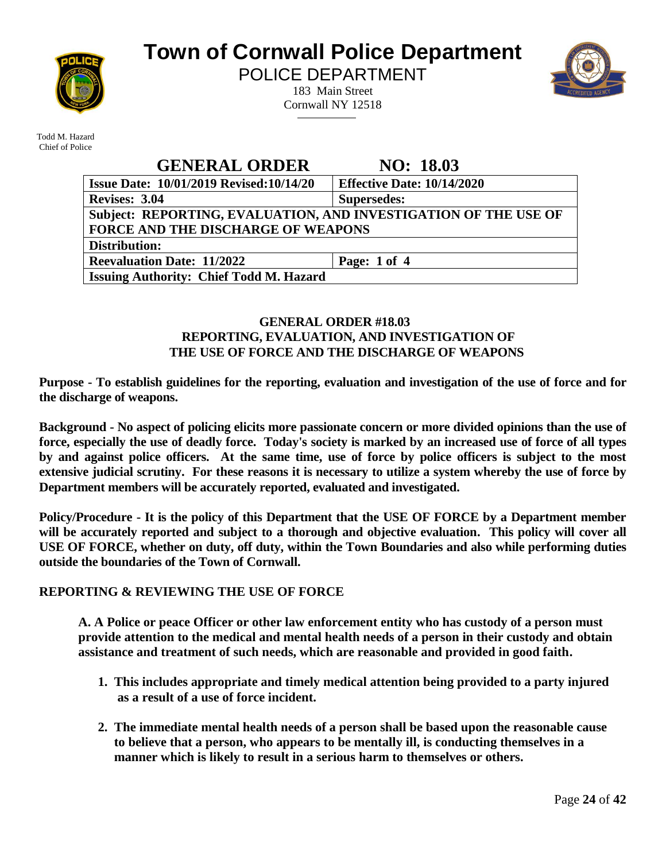

**Town of Cornwall Police Department**

POLICE DEPARTMENT 183 Main Street Cornwall NY 12518



Todd M. Hazard Chief of Police

## **GENERAL ORDER** NO: 18.03 **Issue Date: 10/01/2019 Revised:10/14/20 Effective Date: 10/14/2020 Revises: 3.04 Supersedes: Subject: REPORTING, EVALUATION, AND INVESTIGATION OF THE USE OF FORCE AND THE DISCHARGE OF WEAPONS Distribution: Reevaluation Date: 11/2022 Page: 1 of 4 Issuing Authority: Chief Todd M. Hazard**

#### **GENERAL ORDER #18.03 REPORTING, EVALUATION, AND INVESTIGATION OF THE USE OF FORCE AND THE DISCHARGE OF WEAPONS**

**Purpose - To establish guidelines for the reporting, evaluation and investigation of the use of force and for the discharge of weapons.**

**Background - No aspect of policing elicits more passionate concern or more divided opinions than the use of force, especially the use of deadly force. Today's society is marked by an increased use of force of all types by and against police officers. At the same time, use of force by police officers is subject to the most extensive judicial scrutiny. For these reasons it is necessary to utilize a system whereby the use of force by Department members will be accurately reported, evaluated and investigated.**

**Policy/Procedure - It is the policy of this Department that the USE OF FORCE by a Department member**  will be accurately reported and subject to a thorough and objective evaluation. This policy will cover all **USE OF FORCE, whether on duty, off duty, within the Town Boundaries and also while performing duties outside the boundaries of the Town of Cornwall.**

#### **REPORTING & REVIEWING THE USE OF FORCE**

**A. A Police or peace Officer or other law enforcement entity who has custody of a person must provide attention to the medical and mental health needs of a person in their custody and obtain assistance and treatment of such needs, which are reasonable and provided in good faith.**

- **1. This includes appropriate and timely medical attention being provided to a party injured as a result of a use of force incident.**
- **2. The immediate mental health needs of a person shall be based upon the reasonable cause to believe that a person, who appears to be mentally ill, is conducting themselves in a manner which is likely to result in a serious harm to themselves or others.**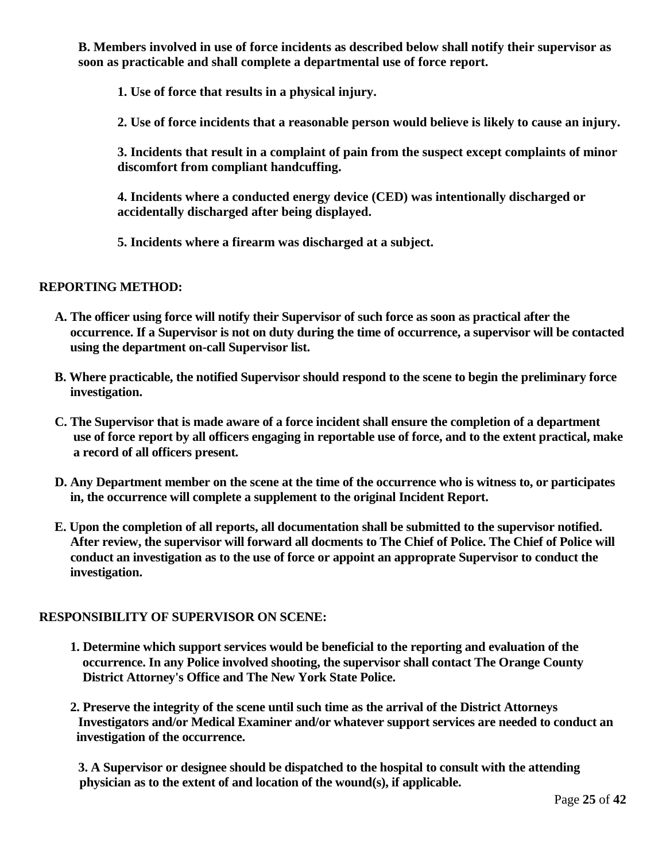**B. Members involved in use of force incidents as described below shall notify their supervisor as soon as practicable and shall complete a departmental use of force report.** 

**1. Use of force that results in a physical injury.** 

**2. Use of force incidents that a reasonable person would believe is likely to cause an injury.** 

**3. Incidents that result in a complaint of pain from the suspect except complaints of minor discomfort from compliant handcuffing.** 

**4. Incidents where a conducted energy device (CED) was intentionally discharged or accidentally discharged after being displayed.** 

**5. Incidents where a firearm was discharged at a subject.** 

#### **REPORTING METHOD:**

- **A. The officer using force will notify their Supervisor of such force as soon as practical after the occurrence. If a Supervisor is not on duty during the time of occurrence, a supervisor will be contacted using the department on-call Supervisor list.**
- **B. Where practicable, the notified Supervisor should respond to the scene to begin the preliminary force investigation.**
- **C. The Supervisor that is made aware of a force incident shall ensure the completion of a department use of force report by all officers engaging in reportable use of force, and to the extent practical, make a record of all officers present.**
- **D. Any Department member on the scene at the time of the occurrence who is witness to, or participates in, the occurrence will complete a supplement to the original Incident Report.**
- **E. Upon the completion of all reports, all documentation shall be submitted to the supervisor notified. After review, the supervisor will forward all docments to The Chief of Police. The Chief of Police will conduct an investigation as to the use of force or appoint an approprate Supervisor to conduct the investigation.**

#### **RESPONSIBILITY OF SUPERVISOR ON SCENE:**

 **1. Determine which support services would be beneficial to the reporting and evaluation of the occurrence. In any Police involved shooting, the supervisor shall contact The Orange County District Attorney's Office and The New York State Police.**

 **2. Preserve the integrity of the scene until such time as the arrival of the District Attorneys Investigators and/or Medical Examiner and/or whatever support services are needed to conduct an investigation of the occurrence.**

**3. A Supervisor or designee should be dispatched to the hospital to consult with the attending physician as to the extent of and location of the wound(s), if applicable.**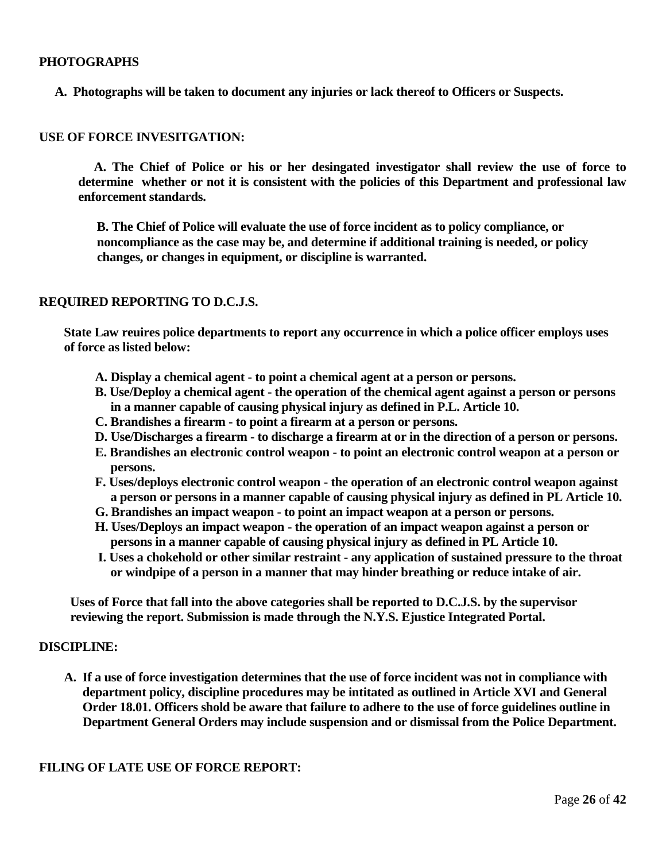#### **PHOTOGRAPHS**

 **A. Photographs will be taken to document any injuries or lack thereof to Officers or Suspects.** 

#### **USE OF FORCE INVESITGATION:**

 **A. The Chief of Police or his or her desingated investigator shall review the use of force to determine whether or not it is consistent with the policies of this Department and professional law enforcement standards.**

 **B. The Chief of Police will evaluate the use of force incident as to policy compliance, or noncompliance as the case may be, and determine if additional training is needed, or policy changes, or changes in equipment, or discipline is warranted.**

#### **REQUIRED REPORTING TO D.C.J.S.**

 **State Law reuires police departments to report any occurrence in which a police officer employs uses of force as listed below:**

- **A. Display a chemical agent - to point a chemical agent at a person or persons.**
- **B. Use/Deploy a chemical agent - the operation of the chemical agent against a person or persons in a manner capable of causing physical injury as defined in P.L. Article 10.**
- **C. Brandishes a firearm - to point a firearm at a person or persons.**
- **D. Use/Discharges a firearm - to discharge a firearm at or in the direction of a person or persons.**
- **E. Brandishes an electronic control weapon - to point an electronic control weapon at a person or persons.**
- **F. Uses/deploys electronic control weapon - the operation of an electronic control weapon against a person or persons in a manner capable of causing physical injury as defined in PL Article 10.**
- **G. Brandishes an impact weapon - to point an impact weapon at a person or persons.**
- **H. Uses/Deploys an impact weapon - the operation of an impact weapon against a person or persons in a manner capable of causing physical injury as defined in PL Article 10.**
- **I. Uses a chokehold or other similar restraint - any application of sustained pressure to the throat or windpipe of a person in a manner that may hinder breathing or reduce intake of air.**

 **Uses of Force that fall into the above categories shall be reported to D.C.J.S. by the supervisor reviewing the report. Submission is made through the N.Y.S. Ejustice Integrated Portal.** 

#### **DISCIPLINE:**

 **A. If a use of force investigation determines that the use of force incident was not in compliance with department policy, discipline procedures may be intitated as outlined in Article XVI and General Order 18.01. Officers shold be aware that failure to adhere to the use of force guidelines outline in Department General Orders may include suspension and or dismissal from the Police Department.** 

#### **FILING OF LATE USE OF FORCE REPORT:**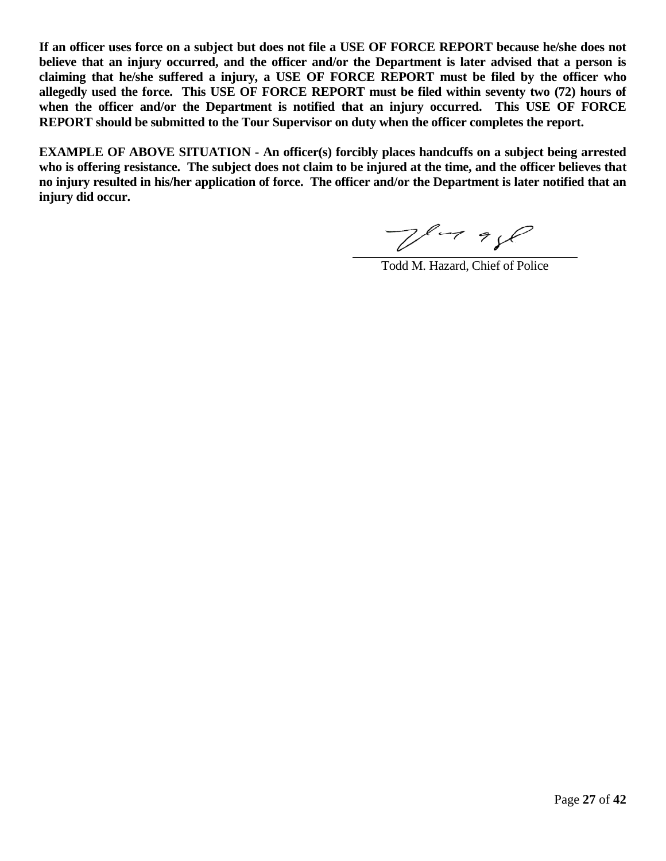**If an officer uses force on a subject but does not file a USE OF FORCE REPORT because he/she does not believe that an injury occurred, and the officer and/or the Department is later advised that a person is claiming that he/she suffered a injury, a USE OF FORCE REPORT must be filed by the officer who allegedly used the force. This USE OF FORCE REPORT must be filed within seventy two (72) hours of when the officer and/or the Department is notified that an injury occurred. This USE OF FORCE REPORT should be submitted to the Tour Supervisor on duty when the officer completes the report.**

**EXAMPLE OF ABOVE SITUATION - An officer(s) forcibly places handcuffs on a subject being arrested who is offering resistance. The subject does not claim to be injured at the time, and the officer believes that no injury resulted in his/her application of force. The officer and/or the Department is later notified that an injury did occur.**

Den & P

Todd M. Hazard, Chief of Police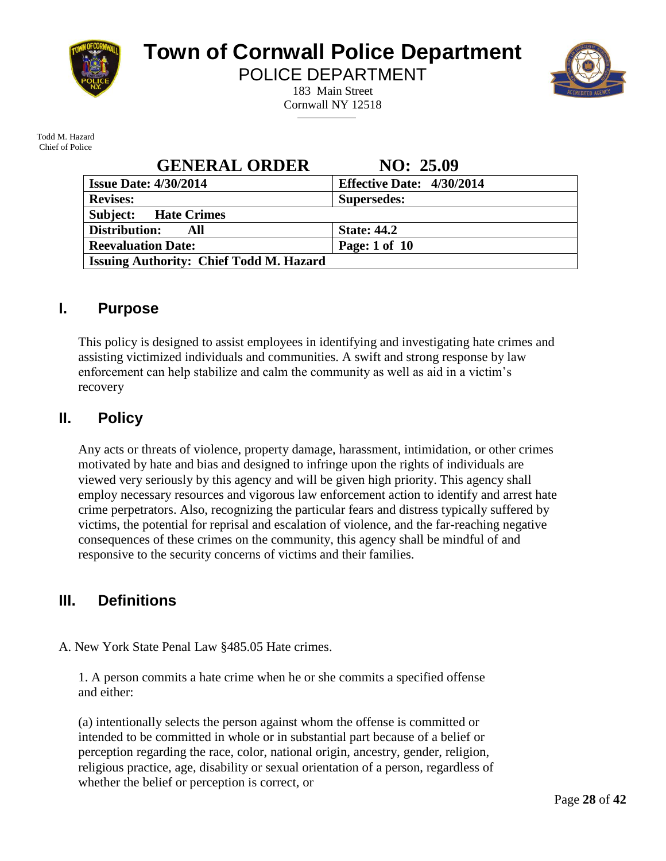

**Town of Cornwall Police Department**

POLICE DEPARTMENT 183 Main Street Cornwall NY 12518



Todd M. Hazard Chief of Police

> **GENERAL ORDER** NO: 25.09 **Issue Date: 4/30/2014 Effective Date: 4/30/2014 Revises:** Supersedes: **Subject: Hate Crimes** Distribution: All **State: 44.2 Reevaluation Date: Page: 1 of 10 Issuing Authority: Chief Todd M. Hazard**

## **I. Purpose**

This policy is designed to assist employees in identifying and investigating hate crimes and assisting victimized individuals and communities. A swift and strong response by law enforcement can help stabilize and calm the community as well as aid in a victim's recovery

# **II. Policy**

Any acts or threats of violence, property damage, harassment, intimidation, or other crimes motivated by hate and bias and designed to infringe upon the rights of individuals are viewed very seriously by this agency and will be given high priority. This agency shall employ necessary resources and vigorous law enforcement action to identify and arrest hate crime perpetrators. Also, recognizing the particular fears and distress typically suffered by victims, the potential for reprisal and escalation of violence, and the far-reaching negative consequences of these crimes on the community, this agency shall be mindful of and responsive to the security concerns of victims and their families.

## **III. Definitions**

A. New York State Penal Law §485.05 Hate crimes.

1. A person commits a hate crime when he or she commits a specified offense and either:

(a) intentionally selects the person against whom the offense is committed or intended to be committed in whole or in substantial part because of a belief or perception regarding the race, color, national origin, ancestry, gender, religion, religious practice, age, disability or sexual orientation of a person, regardless of whether the belief or perception is correct, or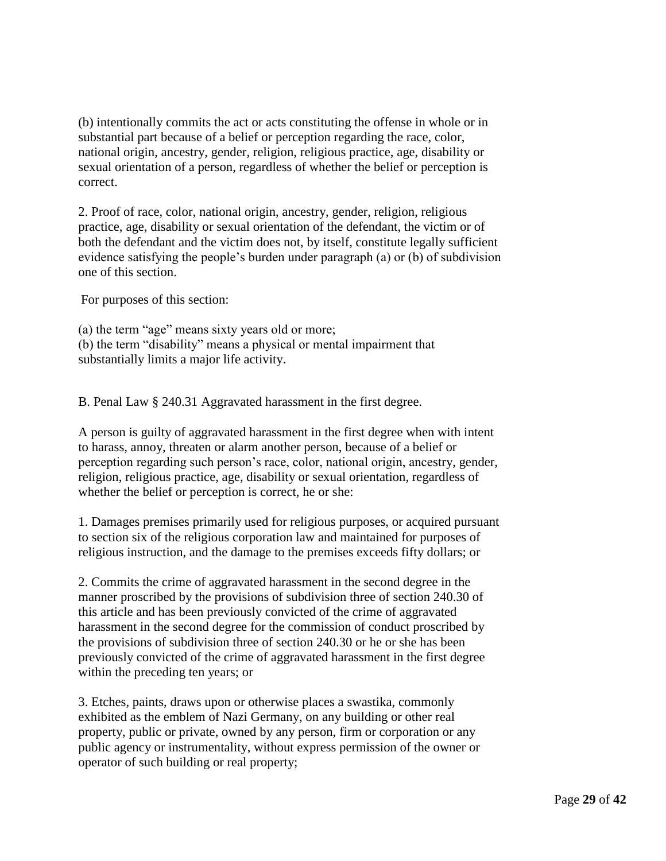(b) intentionally commits the act or acts constituting the offense in whole or in substantial part because of a belief or perception regarding the race, color, national origin, ancestry, gender, religion, religious practice, age, disability or sexual orientation of a person, regardless of whether the belief or perception is correct.

2. Proof of race, color, national origin, ancestry, gender, religion, religious practice, age, disability or sexual orientation of the defendant, the victim or of both the defendant and the victim does not, by itself, constitute legally sufficient evidence satisfying the people's burden under paragraph (a) or (b) of subdivision one of this section.

For purposes of this section:

(a) the term "age" means sixty years old or more; (b) the term "disability" means a physical or mental impairment that substantially limits a major life activity.

B. Penal Law § 240.31 Aggravated harassment in the first degree.

A person is guilty of aggravated harassment in the first degree when with intent to harass, annoy, threaten or alarm another person, because of a belief or perception regarding such person's race, color, national origin, ancestry, gender, religion, religious practice, age, disability or sexual orientation, regardless of whether the belief or perception is correct, he or she:

1. Damages premises primarily used for religious purposes, or acquired pursuant to section six of the religious corporation law and maintained for purposes of religious instruction, and the damage to the premises exceeds fifty dollars; or

2. Commits the crime of aggravated harassment in the second degree in the manner proscribed by the provisions of subdivision three of section 240.30 of this article and has been previously convicted of the crime of aggravated harassment in the second degree for the commission of conduct proscribed by the provisions of subdivision three of section 240.30 or he or she has been previously convicted of the crime of aggravated harassment in the first degree within the preceding ten years; or

3. Etches, paints, draws upon or otherwise places a swastika, commonly exhibited as the emblem of Nazi Germany, on any building or other real property, public or private, owned by any person, firm or corporation or any public agency or instrumentality, without express permission of the owner or operator of such building or real property;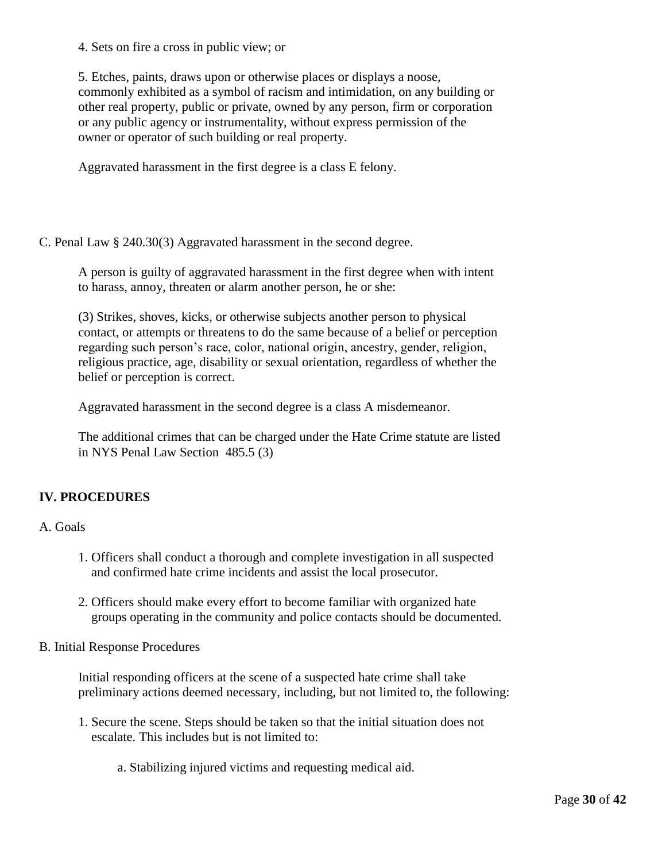4. Sets on fire a cross in public view; or

5. Etches, paints, draws upon or otherwise places or displays a noose, commonly exhibited as a symbol of racism and intimidation, on any building or other real property, public or private, owned by any person, firm or corporation or any public agency or instrumentality, without express permission of the owner or operator of such building or real property.

Aggravated harassment in the first degree is a class E felony.

C. Penal Law § 240.30(3) Aggravated harassment in the second degree.

A person is guilty of aggravated harassment in the first degree when with intent to harass, annoy, threaten or alarm another person, he or she:

(3) Strikes, shoves, kicks, or otherwise subjects another person to physical contact, or attempts or threatens to do the same because of a belief or perception regarding such person's race, color, national origin, ancestry, gender, religion, religious practice, age, disability or sexual orientation, regardless of whether the belief or perception is correct.

Aggravated harassment in the second degree is a class A misdemeanor.

The additional crimes that can be charged under the Hate Crime statute are listed in NYS Penal Law Section 485.5 (3)

#### **IV. PROCEDURES**

#### A. Goals

- 1. Officers shall conduct a thorough and complete investigation in all suspected and confirmed hate crime incidents and assist the local prosecutor.
- 2. Officers should make every effort to become familiar with organized hate groups operating in the community and police contacts should be documented.
- B. Initial Response Procedures

Initial responding officers at the scene of a suspected hate crime shall take preliminary actions deemed necessary, including, but not limited to, the following:

- 1. Secure the scene. Steps should be taken so that the initial situation does not escalate. This includes but is not limited to:
	- a. Stabilizing injured victims and requesting medical aid.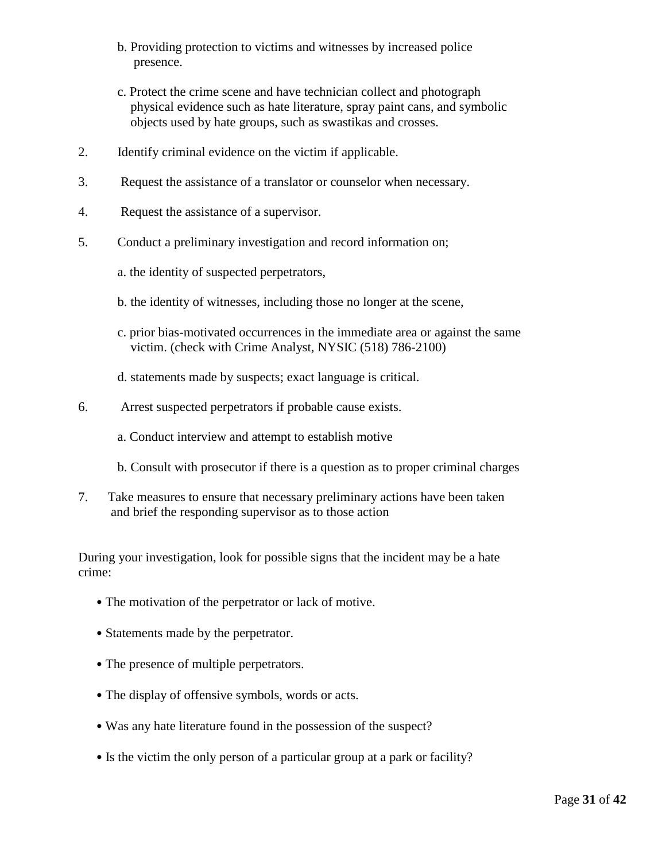- b. Providing protection to victims and witnesses by increased police presence.
- c. Protect the crime scene and have technician collect and photograph physical evidence such as hate literature, spray paint cans, and symbolic objects used by hate groups, such as swastikas and crosses.
- 2. Identify criminal evidence on the victim if applicable.
- 3. Request the assistance of a translator or counselor when necessary.
- 4. Request the assistance of a supervisor.
- 5. Conduct a preliminary investigation and record information on;
	- a. the identity of suspected perpetrators,
	- b. the identity of witnesses, including those no longer at the scene,
	- c. prior bias-motivated occurrences in the immediate area or against the same victim. (check with Crime Analyst, NYSIC (518) 786-2100)
	- d. statements made by suspects; exact language is critical.
- 6. Arrest suspected perpetrators if probable cause exists.
	- a. Conduct interview and attempt to establish motive
	- b. Consult with prosecutor if there is a question as to proper criminal charges
- 7. Take measures to ensure that necessary preliminary actions have been taken and brief the responding supervisor as to those action

During your investigation, look for possible signs that the incident may be a hate crime:

- The motivation of the perpetrator or lack of motive.
- Statements made by the perpetrator.
- The presence of multiple perpetrators.
- The display of offensive symbols, words or acts.
- Was any hate literature found in the possession of the suspect?
- Is the victim the only person of a particular group at a park or facility?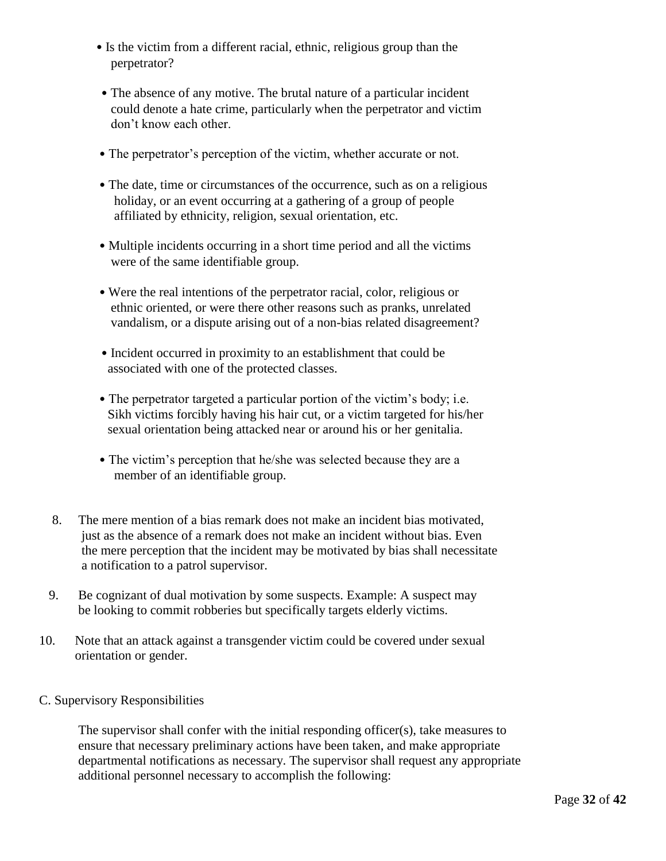- Is the victim from a different racial, ethnic, religious group than the perpetrator?
- The absence of any motive. The brutal nature of a particular incident could denote a hate crime, particularly when the perpetrator and victim don't know each other.
- The perpetrator's perception of the victim, whether accurate or not.
- The date, time or circumstances of the occurrence, such as on a religious holiday, or an event occurring at a gathering of a group of people affiliated by ethnicity, religion, sexual orientation, etc.
- Multiple incidents occurring in a short time period and all the victims were of the same identifiable group.
- Were the real intentions of the perpetrator racial, color, religious or ethnic oriented, or were there other reasons such as pranks, unrelated vandalism, or a dispute arising out of a non-bias related disagreement?
- Incident occurred in proximity to an establishment that could be associated with one of the protected classes.
- The perpetrator targeted a particular portion of the victim's body; i.e. Sikh victims forcibly having his hair cut, or a victim targeted for his/her sexual orientation being attacked near or around his or her genitalia.
- The victim's perception that he/she was selected because they are a member of an identifiable group.
- 8. The mere mention of a bias remark does not make an incident bias motivated, just as the absence of a remark does not make an incident without bias. Even the mere perception that the incident may be motivated by bias shall necessitate a notification to a patrol supervisor.
- 9. Be cognizant of dual motivation by some suspects. Example: A suspect may be looking to commit robberies but specifically targets elderly victims.
- 10. Note that an attack against a transgender victim could be covered under sexual orientation or gender.
- C. Supervisory Responsibilities

The supervisor shall confer with the initial responding officer(s), take measures to ensure that necessary preliminary actions have been taken, and make appropriate departmental notifications as necessary. The supervisor shall request any appropriate additional personnel necessary to accomplish the following: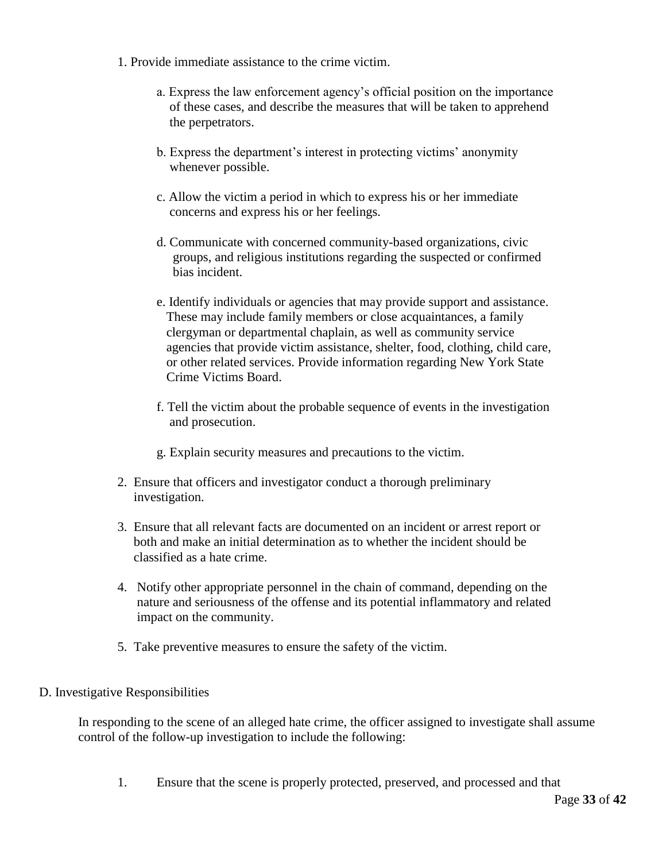- 1. Provide immediate assistance to the crime victim.
	- a. Express the law enforcement agency's official position on the importance of these cases, and describe the measures that will be taken to apprehend the perpetrators.
	- b. Express the department's interest in protecting victims' anonymity whenever possible.
	- c. Allow the victim a period in which to express his or her immediate concerns and express his or her feelings.
	- d. Communicate with concerned community-based organizations, civic groups, and religious institutions regarding the suspected or confirmed bias incident.
	- e. Identify individuals or agencies that may provide support and assistance. These may include family members or close acquaintances, a family clergyman or departmental chaplain, as well as community service agencies that provide victim assistance, shelter, food, clothing, child care, or other related services. Provide information regarding New York State Crime Victims Board.
	- f. Tell the victim about the probable sequence of events in the investigation and prosecution.
	- g. Explain security measures and precautions to the victim.
- 2. Ensure that officers and investigator conduct a thorough preliminary investigation.
- 3. Ensure that all relevant facts are documented on an incident or arrest report or both and make an initial determination as to whether the incident should be classified as a hate crime.
- 4. Notify other appropriate personnel in the chain of command, depending on the nature and seriousness of the offense and its potential inflammatory and related impact on the community.
- 5. Take preventive measures to ensure the safety of the victim.

#### D. Investigative Responsibilities

In responding to the scene of an alleged hate crime, the officer assigned to investigate shall assume control of the follow-up investigation to include the following:

1. Ensure that the scene is properly protected, preserved, and processed and that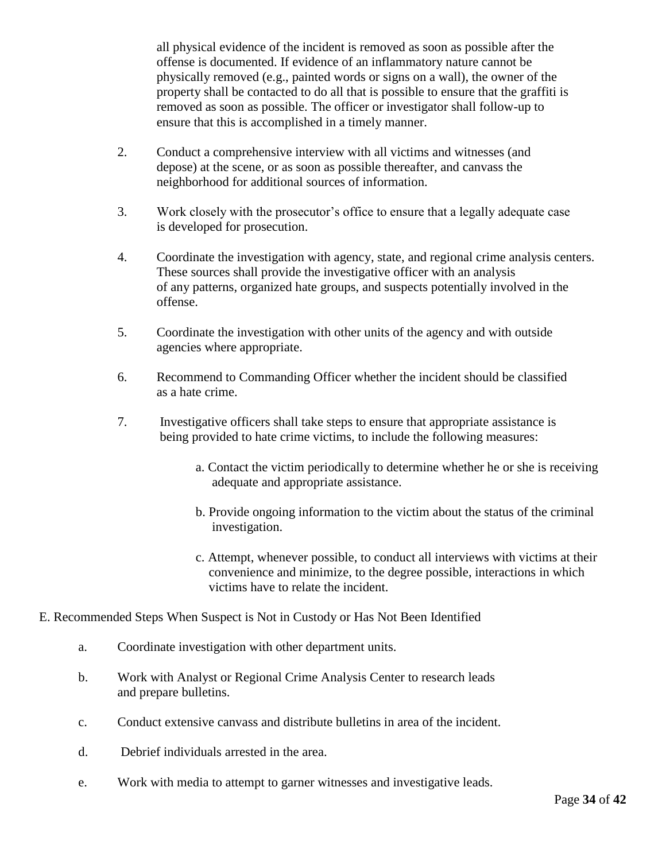all physical evidence of the incident is removed as soon as possible after the offense is documented. If evidence of an inflammatory nature cannot be physically removed (e.g., painted words or signs on a wall), the owner of the property shall be contacted to do all that is possible to ensure that the graffiti is removed as soon as possible. The officer or investigator shall follow-up to ensure that this is accomplished in a timely manner.

- 2. Conduct a comprehensive interview with all victims and witnesses (and depose) at the scene, or as soon as possible thereafter, and canvass the neighborhood for additional sources of information.
- 3. Work closely with the prosecutor's office to ensure that a legally adequate case is developed for prosecution.
- 4. Coordinate the investigation with agency, state, and regional crime analysis centers. These sources shall provide the investigative officer with an analysis of any patterns, organized hate groups, and suspects potentially involved in the offense.
- 5. Coordinate the investigation with other units of the agency and with outside agencies where appropriate.
- 6. Recommend to Commanding Officer whether the incident should be classified as a hate crime.
- 7. Investigative officers shall take steps to ensure that appropriate assistance is being provided to hate crime victims, to include the following measures:
	- a. Contact the victim periodically to determine whether he or she is receiving adequate and appropriate assistance.
	- b. Provide ongoing information to the victim about the status of the criminal investigation.
	- c. Attempt, whenever possible, to conduct all interviews with victims at their convenience and minimize, to the degree possible, interactions in which victims have to relate the incident.
- E. Recommended Steps When Suspect is Not in Custody or Has Not Been Identified
	- a. Coordinate investigation with other department units.
	- b. Work with Analyst or Regional Crime Analysis Center to research leads and prepare bulletins.
	- c. Conduct extensive canvass and distribute bulletins in area of the incident.
	- d. Debrief individuals arrested in the area.
	- e. Work with media to attempt to garner witnesses and investigative leads.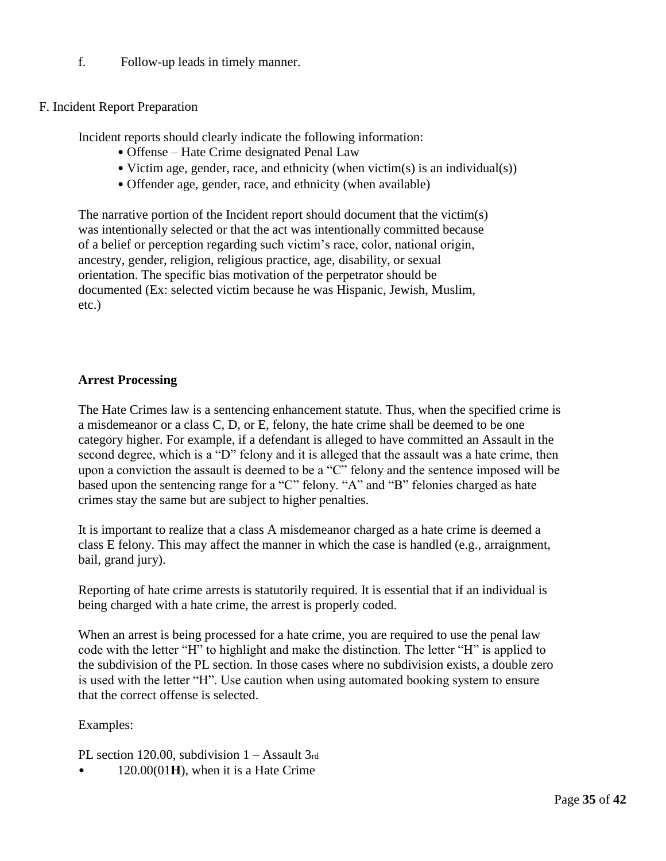f. Follow-up leads in timely manner.

#### F. Incident Report Preparation

Incident reports should clearly indicate the following information:

- Offense Hate Crime designated Penal Law
- Victim age, gender, race, and ethnicity (when victim(s) is an individual(s))
- Offender age, gender, race, and ethnicity (when available)

The narrative portion of the Incident report should document that the victim(s) was intentionally selected or that the act was intentionally committed because of a belief or perception regarding such victim's race, color, national origin, ancestry, gender, religion, religious practice, age, disability, or sexual orientation. The specific bias motivation of the perpetrator should be documented (Ex: selected victim because he was Hispanic, Jewish, Muslim, etc.)

#### **Arrest Processing**

The Hate Crimes law is a sentencing enhancement statute. Thus, when the specified crime is a misdemeanor or a class C, D, or E, felony, the hate crime shall be deemed to be one category higher. For example, if a defendant is alleged to have committed an Assault in the second degree, which is a "D" felony and it is alleged that the assault was a hate crime, then upon a conviction the assault is deemed to be a "C" felony and the sentence imposed will be based upon the sentencing range for a "C" felony. "A" and "B" felonies charged as hate crimes stay the same but are subject to higher penalties.

It is important to realize that a class A misdemeanor charged as a hate crime is deemed a class E felony. This may affect the manner in which the case is handled (e.g., arraignment, bail, grand jury).

Reporting of hate crime arrests is statutorily required. It is essential that if an individual is being charged with a hate crime, the arrest is properly coded.

When an arrest is being processed for a hate crime, you are required to use the penal law code with the letter "H" to highlight and make the distinction. The letter "H" is applied to the subdivision of the PL section. In those cases where no subdivision exists, a double zero is used with the letter "H". Use caution when using automated booking system to ensure that the correct offense is selected.

Examples:

PL section 120.00, subdivision  $1 -$  Assault 3rd

• 120.00(01**H**), when it is a Hate Crime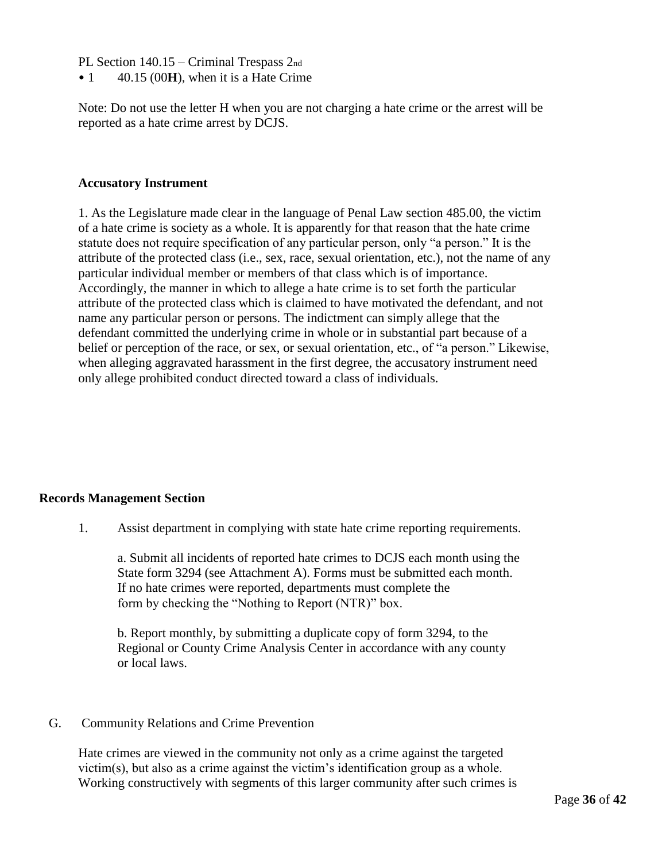PL Section 140.15 – Criminal Trespass 2nd

• 1 40.15 (00**H**), when it is a Hate Crime

Note: Do not use the letter H when you are not charging a hate crime or the arrest will be reported as a hate crime arrest by DCJS.

#### **Accusatory Instrument**

1. As the Legislature made clear in the language of Penal Law section 485.00, the victim of a hate crime is society as a whole. It is apparently for that reason that the hate crime statute does not require specification of any particular person, only "a person." It is the attribute of the protected class (i.e., sex, race, sexual orientation, etc.), not the name of any particular individual member or members of that class which is of importance. Accordingly, the manner in which to allege a hate crime is to set forth the particular attribute of the protected class which is claimed to have motivated the defendant, and not name any particular person or persons. The indictment can simply allege that the defendant committed the underlying crime in whole or in substantial part because of a belief or perception of the race, or sex, or sexual orientation, etc., of "a person." Likewise, when alleging aggravated harassment in the first degree, the accusatory instrument need only allege prohibited conduct directed toward a class of individuals.

#### **Records Management Section**

1. Assist department in complying with state hate crime reporting requirements.

a. Submit all incidents of reported hate crimes to DCJS each month using the State form 3294 (see Attachment A). Forms must be submitted each month. If no hate crimes were reported, departments must complete the form by checking the "Nothing to Report (NTR)" box.

b. Report monthly, by submitting a duplicate copy of form 3294, to the Regional or County Crime Analysis Center in accordance with any county or local laws.

#### G. Community Relations and Crime Prevention

Hate crimes are viewed in the community not only as a crime against the targeted victim(s), but also as a crime against the victim's identification group as a whole. Working constructively with segments of this larger community after such crimes is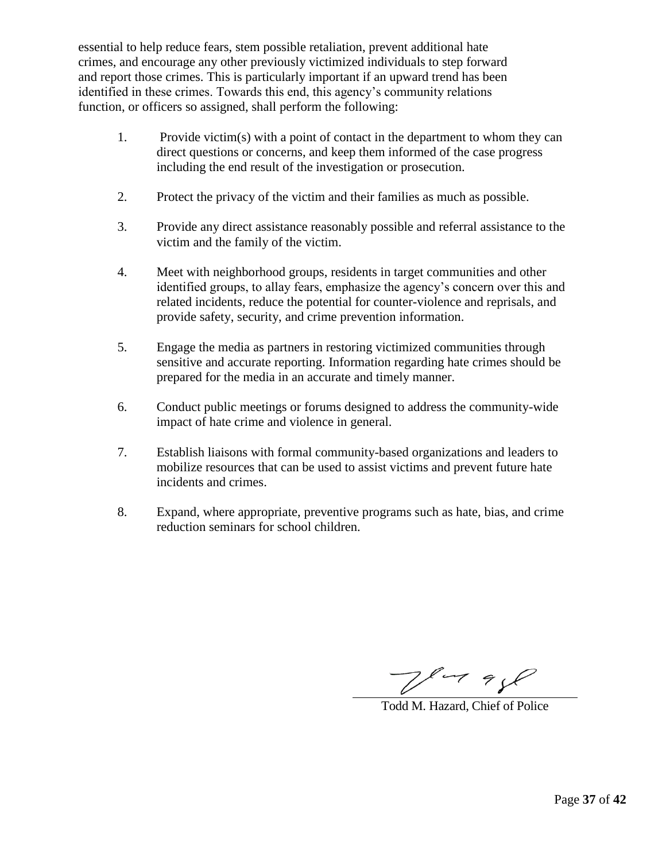essential to help reduce fears, stem possible retaliation, prevent additional hate crimes, and encourage any other previously victimized individuals to step forward and report those crimes. This is particularly important if an upward trend has been identified in these crimes. Towards this end, this agency's community relations function, or officers so assigned, shall perform the following:

- 1. Provide victim(s) with a point of contact in the department to whom they can direct questions or concerns, and keep them informed of the case progress including the end result of the investigation or prosecution.
- 2. Protect the privacy of the victim and their families as much as possible.
- 3. Provide any direct assistance reasonably possible and referral assistance to the victim and the family of the victim.
- 4. Meet with neighborhood groups, residents in target communities and other identified groups, to allay fears, emphasize the agency's concern over this and related incidents, reduce the potential for counter-violence and reprisals, and provide safety, security, and crime prevention information.
- 5. Engage the media as partners in restoring victimized communities through sensitive and accurate reporting. Information regarding hate crimes should be prepared for the media in an accurate and timely manner.
- 6. Conduct public meetings or forums designed to address the community-wide impact of hate crime and violence in general.
- 7. Establish liaisons with formal community-based organizations and leaders to mobilize resources that can be used to assist victims and prevent future hate incidents and crimes.
- 8. Expand, where appropriate, preventive programs such as hate, bias, and crime reduction seminars for school children.

Tem age

Todd M. Hazard, Chief of Police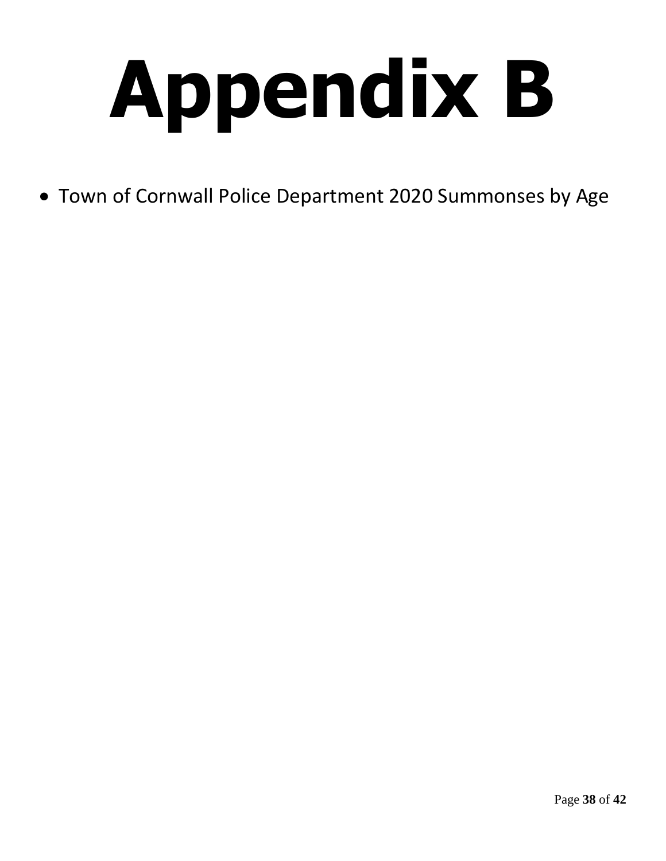

• Town of Cornwall Police Department 2020 Summonses by Age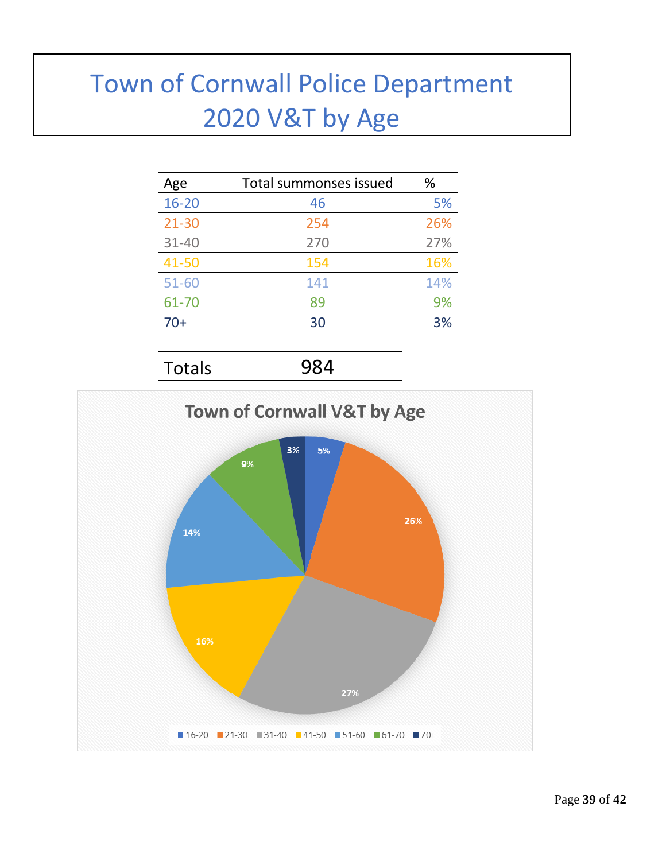# Town of Cornwall Police Department 2020 V&T by Age

| Age       | <b>Total summonses issued</b> | %   |
|-----------|-------------------------------|-----|
| $16 - 20$ | 46                            | 5%  |
| 21-30     | 254                           | 26% |
| $31 - 40$ | 270                           | 27% |
| 41-50     | 154                           | 16% |
| 51-60     | 141                           | 14% |
| 61-70     | 89                            | 9%  |
| 70+       | 30                            | 3%  |

Totals 984

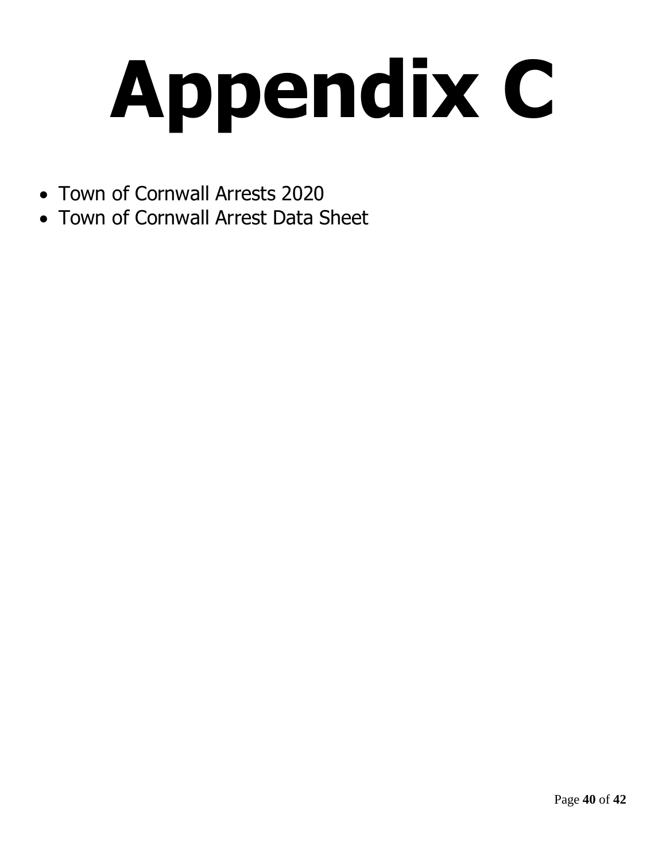# **Appendix C**

- Town of Cornwall Arrests 2020
- Town of Cornwall Arrest Data Sheet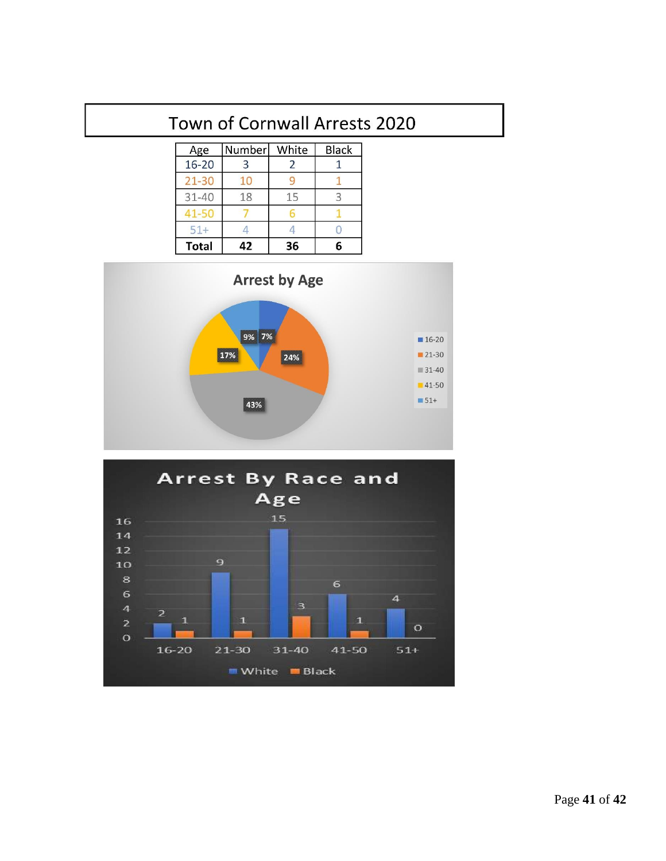# Town of Cornwall Arrests 2020

| Age                | Number | White | <b>Black</b> |
|--------------------|--------|-------|--------------|
| $16 - 20$          | 3      | 2     |              |
| $21 - 30$          | 10     |       |              |
| $31 - 40$          | 18     | 15    |              |
| 41-50              |        |       |              |
| $51+$              |        |       |              |
| <b>Total</b><br>42 |        | 36    | Բ            |